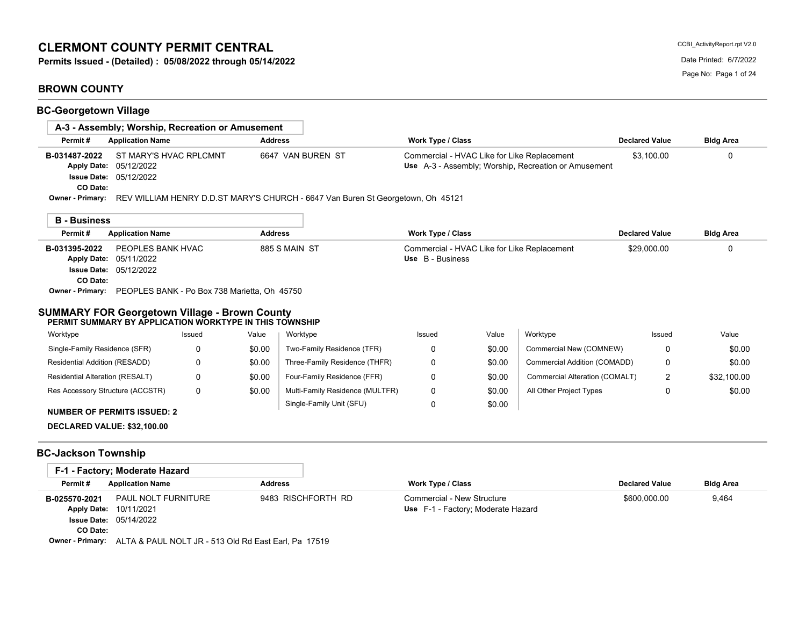# **CLERMONT COUNTY PERMIT CENTRAL**

**Permits Issued - (Detailed) : 05/08/2022 through 05/14/2022** Date Printed: 6/7/2022

# **BROWN COUNTY**

CCBI\_ActivityReport.rpt V2.0

| <b>BC-Georgetown Village</b>                                                                                                                                                                                                 |                     |                   |                                             |                                                                  |            |                                |                       |                  |
|------------------------------------------------------------------------------------------------------------------------------------------------------------------------------------------------------------------------------|---------------------|-------------------|---------------------------------------------|------------------------------------------------------------------|------------|--------------------------------|-----------------------|------------------|
| A-3 - Assembly: Worship, Recreation or Amusement                                                                                                                                                                             |                     |                   |                                             |                                                                  |            |                                |                       |                  |
| Permit#<br><b>Application Name</b>                                                                                                                                                                                           |                     | <b>Address</b>    |                                             | <b>Work Type / Class</b>                                         |            |                                | <b>Declared Value</b> | <b>Bldg Area</b> |
| ST MARY'S HVAC RPLCMNT<br>B-031487-2022<br>Apply Date: 05/12/2022<br><b>Issue Date: 05/12/2022</b><br>CO Date:<br><b>Owner - Primary:</b><br>REV WILLIAM HENRY D.D.ST MARY'S CHURCH - 6647 Van Buren St Georgetown, Oh 45121 |                     | 6647 VAN BUREN ST | Commercial - HVAC Like for Like Replacement | Use A-3 - Assembly; Worship, Recreation or Amusement             | \$3.100.00 | $\Omega$                       |                       |                  |
| <b>B</b> - Business                                                                                                                                                                                                          |                     |                   |                                             |                                                                  |            |                                |                       |                  |
| Permit#<br><b>Application Name</b>                                                                                                                                                                                           |                     | <b>Address</b>    |                                             | <b>Work Type / Class</b>                                         |            |                                | <b>Declared Value</b> | <b>Bldg Area</b> |
| B-031395-2022<br>Apply Date: 05/11/2022<br><b>Issue Date: 05/12/2022</b><br>CO Date:<br>Owner - Primary: PEOPLES BANK - Po Box 738 Marietta, Oh 45750<br><b>SUMMARY FOR Georgetown Village - Brown County</b>                | PEOPLES BANK HVAC   |                   | 885 S MAIN ST                               | Commercial - HVAC Like for Like Replacement<br>Use B - Business  |            |                                | \$29,000.00           | 0                |
| PERMIT SUMMARY BY APPLICATION WORKTYPE IN THIS TOWNSHIP<br>Worktype                                                                                                                                                          | Issued              | Value             | Worktype                                    | Issued                                                           | Value      | Worktype                       | Issued                | Value            |
| Single-Family Residence (SFR)                                                                                                                                                                                                | 0                   | \$0.00            | Two-Family Residence (TFR)                  | 0                                                                | \$0.00     | Commercial New (COMNEW)        | $\Omega$              | \$0.00           |
| Residential Addition (RESADD)                                                                                                                                                                                                | 0                   | \$0.00            | Three-Family Residence (THFR)               | 0                                                                | \$0.00     | Commercial Addition (COMADD)   | 0                     | \$0.00           |
| Residential Alteration (RESALT)                                                                                                                                                                                              | 0                   | \$0.00            | Four-Family Residence (FFR)                 | 0                                                                | \$0.00     | Commercial Alteration (COMALT) | 2                     | \$32,100.00      |
| Res Accessory Structure (ACCSTR)                                                                                                                                                                                             | $\Omega$            | \$0.00            | Multi-Family Residence (MULTFR)             | 0                                                                | \$0.00     | All Other Project Types        | 0                     | \$0.00           |
| <b>NUMBER OF PERMITS ISSUED: 2</b><br>DECLARED VALUE: \$32,100.00                                                                                                                                                            |                     |                   | Single-Family Unit (SFU)                    | 0                                                                | \$0.00     |                                |                       |                  |
| <b>BC-Jackson Township</b>                                                                                                                                                                                                   |                     |                   |                                             |                                                                  |            |                                |                       |                  |
| F-1 - Factory: Moderate Hazard                                                                                                                                                                                               |                     |                   |                                             |                                                                  |            |                                |                       |                  |
| Permit#<br><b>Application Name</b>                                                                                                                                                                                           |                     | <b>Address</b>    |                                             | Work Type / Class                                                |            |                                | <b>Declared Value</b> | <b>Bldg Area</b> |
| B-025570-2021<br>Apply Date: 10/11/2021                                                                                                                                                                                      | PAUL NOLT FURNITURE |                   | 9483 RISCHFORTH RD                          | Commercial - New Structure<br>Use F-1 - Factory; Moderate Hazard |            |                                | \$600,000.00          | 9,464            |

05/14/2022 **Issue Date: CO Date:**

**Owner - Primary:** ALTA & PAUL NOLT JR - 513 Old Rd East Earl, Pa 17519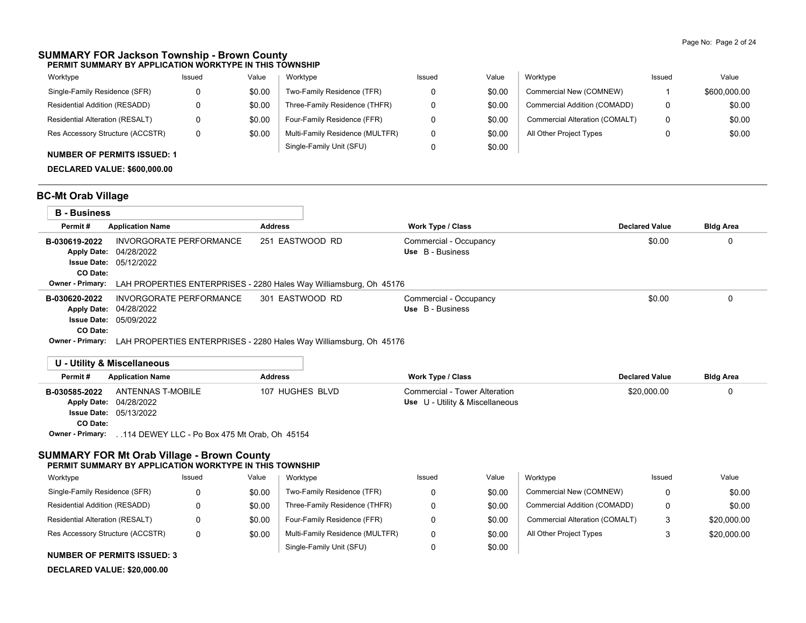#### **SUMMARY FOR Jackson Township - Brown County PERMIT SUMMARY BY APPLICATION WORKTYPE IN THIS TOWNSHIP**

| Worktype                           | Issued | Value  | Worktype                        | Issued | Value  | Worktype                       | Issued | Value        |
|------------------------------------|--------|--------|---------------------------------|--------|--------|--------------------------------|--------|--------------|
| Single-Family Residence (SFR)      |        | \$0.00 | Two-Family Residence (TFR)      |        | \$0.00 | Commercial New (COMNEW)        |        | \$600,000.00 |
| Residential Addition (RESADD)      |        | \$0.00 | Three-Family Residence (THFR)   |        | \$0.00 | Commercial Addition (COMADD)   | 0      | \$0.00       |
| Residential Alteration (RESALT)    |        | \$0.00 | Four-Family Residence (FFR)     |        | \$0.00 | Commercial Alteration (COMALT) | 0      | \$0.00       |
| Res Accessory Structure (ACCSTR)   | 0      | \$0.00 | Multi-Family Residence (MULTFR) |        | \$0.00 | All Other Project Types        | 0      | \$0.00       |
| <b>NUMBER OF PERMITS ISSUED: 1</b> |        |        | Single-Family Unit (SFU)        |        | \$0.00 |                                |        |              |

**DECLARED VALUE: \$600,000.00**

### **BC-Mt Orab Village**

| <b>B</b> - Business       |                                                                                    |                 |                                            |                       |                  |  |  |
|---------------------------|------------------------------------------------------------------------------------|-----------------|--------------------------------------------|-----------------------|------------------|--|--|
| Permit#                   | <b>Application Name</b>                                                            | <b>Address</b>  | <b>Work Type / Class</b>                   | <b>Declared Value</b> | <b>Bldg Area</b> |  |  |
| B-030619-2022<br>CO Date: | INVORGORATE PERFORMANCE<br>Apply Date: 04/28/2022<br><b>Issue Date: 05/12/2022</b> | 251 EASTWOOD RD | Commercial - Occupancy<br>Use B - Business | \$0.00                |                  |  |  |
| <b>Owner - Primary:</b>   | LAH PROPERTIES ENTERPRISES - 2280 Hales Way Williamsburg, Oh 45176                 |                 |                                            |                       |                  |  |  |
| B-030620-2022<br>CO Date: | INVORGORATE PERFORMANCE<br>Apply Date: 04/28/2022<br><b>Issue Date: 05/09/2022</b> | 301 EASTWOOD RD | Commercial - Occupancy<br>Use B - Business | \$0.00                |                  |  |  |

**Owner - Primary:** LAH PROPERTIES ENTERPRISES - 2280 Hales Way Williamsburg, Oh 45176

### **U - Utility & Miscellaneous**

| Permit#       | <b>Application Name</b>                                        | <b>Address</b>  | Work Type / Class                                                | <b>Declared Value</b> | <b>Bldg Area</b> |  |  |  |  |  |
|---------------|----------------------------------------------------------------|-----------------|------------------------------------------------------------------|-----------------------|------------------|--|--|--|--|--|
| B-030585-2022 | ANTENNAS T-MOBILE<br>Apply Date: 04/28/2022                    | 107 HUGHES BLVD | Commercial - Tower Alteration<br>Use U - Utility & Miscellaneous | \$20,000.00           |                  |  |  |  |  |  |
|               | <b>Issue Date: 05/13/2022</b>                                  |                 |                                                                  |                       |                  |  |  |  |  |  |
| CO Date:      |                                                                |                 |                                                                  |                       |                  |  |  |  |  |  |
|               | Owner - Primary:  114 DEWEY LLC - Po Box 475 Mt Orab, Oh 45154 |                 |                                                                  |                       |                  |  |  |  |  |  |

### **SUMMARY FOR Mt Orab Village - Brown County**

| PERMIT SUMMARY BY APPLICATION WORKTYPE IN THIS TOWNSHIP |        |        |                                 |        |        |                                |        |             |  |  |  |
|---------------------------------------------------------|--------|--------|---------------------------------|--------|--------|--------------------------------|--------|-------------|--|--|--|
| Worktype                                                | Issued | Value  | Worktype                        | Issued | Value  | Worktvpe                       | Issued | Value       |  |  |  |
| Single-Family Residence (SFR)                           | 0      | \$0.00 | Two-Family Residence (TFR)      |        | \$0.00 | Commercial New (COMNEW)        |        | \$0.00      |  |  |  |
| Residential Addition (RESADD)                           |        | \$0.00 | Three-Family Residence (THFR)   |        | \$0.00 | Commercial Addition (COMADD)   |        | \$0.00      |  |  |  |
| Residential Alteration (RESALT)                         |        | \$0.00 | Four-Family Residence (FFR)     |        | \$0.00 | Commercial Alteration (COMALT) | 3      | \$20,000.00 |  |  |  |
| Res Accessory Structure (ACCSTR)                        | 0      | \$0.00 | Multi-Family Residence (MULTFR) |        | \$0.00 | All Other Project Types        |        | \$20,000.00 |  |  |  |
|                                                         |        |        | Single-Family Unit (SFU)        |        | \$0.00 |                                |        |             |  |  |  |

### **NUMBER OF PERMITS ISSUED: 3**

#### **DECLARED VALUE: \$20,000.00**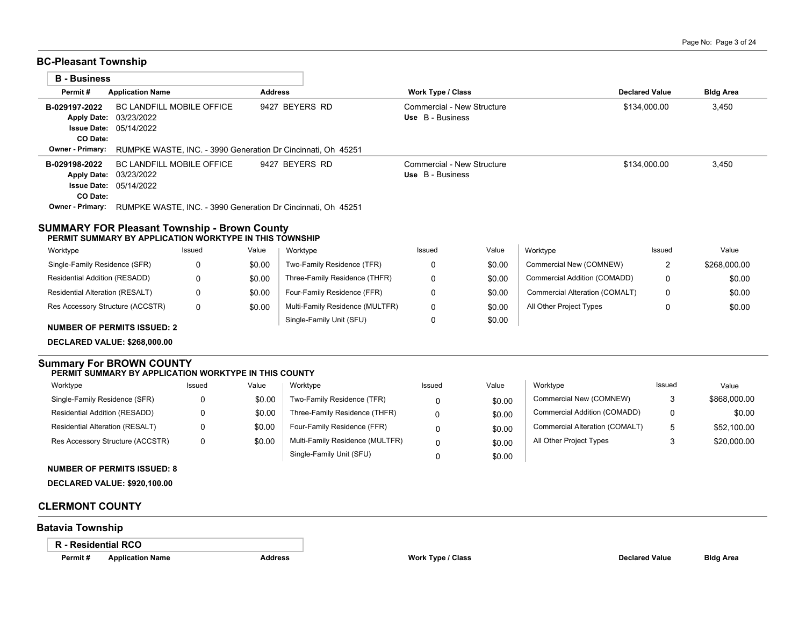### **BC-Pleasant Township**

| Permit#                             | <b>Application Name</b>                                                              | <b>Address</b> | <b>Work Type / Class</b>                       | <b>Declared Value</b> | <b>Bldg Area</b> |  |  |  |  |  |  |  |
|-------------------------------------|--------------------------------------------------------------------------------------|----------------|------------------------------------------------|-----------------------|------------------|--|--|--|--|--|--|--|
| B-029197-2022                       | <b>BC LANDFILL MOBILE OFFICE</b><br>Apply Date: 03/23/2022                           | 9427 BEYERS RD | Commercial - New Structure<br>Use B - Business | \$134,000.00          | 3,450            |  |  |  |  |  |  |  |
| CO Date:                            | <b>Issue Date: 05/14/2022</b>                                                        |                |                                                |                       |                  |  |  |  |  |  |  |  |
| <b>Owner - Primary:</b>             | RUMPKE WASTE, INC. - 3990 Generation Dr Cincinnati, Oh 45251                         |                |                                                |                       |                  |  |  |  |  |  |  |  |
| B-029198-2022                       | BC LANDFILL MOBILE OFFICE<br>Apply Date: 03/23/2022<br><b>Issue Date: 05/14/2022</b> | 9427 BEYERS RD | Commercial - New Structure<br>Use B - Business | \$134,000.00          | 3,450            |  |  |  |  |  |  |  |
| CO Date:<br><b>Owner - Primary:</b> | RUMPKE WASTE. INC. - 3990 Generation Dr Cincinnati. Oh 45251                         |                |                                                |                       |                  |  |  |  |  |  |  |  |

#### Residential Addition (RESADD) Issued Value Issued Value Worktype Issued Value Commercial New (COMNEW) Commercial Addition (COMADD) Commercial Alteration (COMALT) All Other Project Types Single-Family Unit (SFU) Multi-Family Residence (MULTFR) Four-Family Residence (FFR) Three-Family Residence (THFR) Two-Family Residence (TFR) Worktype Res Accessory Structure (ACCSTR) Residential Alteration (RESALT) Single-Family Residence (SFR) Worktype 0 0 0 0 0 0 0 0  $\Omega$  2 0 0 0 \$0.00 \$0.00 \$0.00 \$0.00 \$0.00 \$0.00 \$0.00 \$0.00 \$0.00 \$268,000.00 \$0.00 \$0.00 \$0.00

**NUMBER OF PERMITS ISSUED: 2**

**DECLARED VALUE: \$268,000.00**

#### **Summary For BROWN COUNTY PERMIT SUMMARY BY APPLICATION WORKTYPE IN THIS COUNTY**

#### Worktype **Worktype** Issued Value Issued Value Issued Value

| Single-Family Residence (SFR)    |   | \$0.00 | Two-Family Residence (TFR)      | 0 | \$0.00 | Commercial New (COMNEW)        |    | \$868,000.00 |
|----------------------------------|---|--------|---------------------------------|---|--------|--------------------------------|----|--------------|
| Residential Addition (RESADD)    |   | \$0.00 | Three-Family Residence (THFR)   |   | \$0.00 | Commercial Addition (COMADD)   |    | \$0.00       |
| Residential Alteration (RESALT)  |   | \$0.00 | Four-Family Residence (FFR)     |   | \$0.00 | Commercial Alteration (COMALT) | г. | \$52,100.00  |
| Res Accessory Structure (ACCSTR) | 0 | \$0.00 | Multi-Family Residence (MULTFR) | 0 | \$0.00 | All Other Project Types        |    | \$20,000.00  |
|                                  |   |        | Single-Family Unit (SFU)        |   | \$0.00 |                                |    |              |

### **NUMBER OF PERMITS ISSUED: 8**

**DECLARED VALUE: \$920,100.00**

### **CLERMONT COUNTY**

# **Batavia Township**

**R - Residential RCO**

| Worktype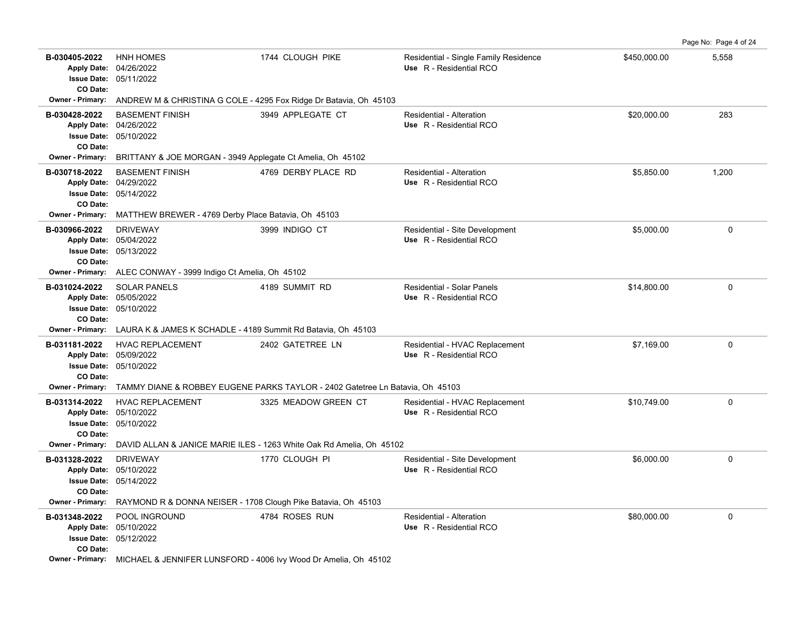|                                                                       |                                                                                                                                                              |                                                                               |                                                                  |              | Page No: Page 4 of 24 |  |  |  |  |  |  |  |
|-----------------------------------------------------------------------|--------------------------------------------------------------------------------------------------------------------------------------------------------------|-------------------------------------------------------------------------------|------------------------------------------------------------------|--------------|-----------------------|--|--|--|--|--|--|--|
| B-030405-2022<br>CO Date:                                             | <b>HNH HOMES</b><br>Apply Date: 04/26/2022<br>Issue Date: 05/11/2022                                                                                         | 1744 CLOUGH PIKE                                                              | Residential - Single Family Residence<br>Use R - Residential RCO | \$450,000.00 | 5,558                 |  |  |  |  |  |  |  |
| <b>Owner - Primary:</b>                                               |                                                                                                                                                              | ANDREW M & CHRISTINA G COLE - 4295 Fox Ridge Dr Batavia, Oh 45103             |                                                                  |              |                       |  |  |  |  |  |  |  |
| B-030428-2022<br>CO Date:                                             | <b>BASEMENT FINISH</b><br>Apply Date: 04/26/2022<br>Issue Date: 05/10/2022                                                                                   | 3949 APPLEGATE CT                                                             | Residential - Alteration<br>Use R - Residential RCO              | \$20,000.00  | 283                   |  |  |  |  |  |  |  |
| Owner - Primary:                                                      | BRITTANY & JOE MORGAN - 3949 Applegate Ct Amelia, Oh 45102                                                                                                   |                                                                               |                                                                  |              |                       |  |  |  |  |  |  |  |
| B-030718-2022<br>CO Date:<br>Owner - Primary:                         | <b>BASEMENT FINISH</b><br>Apply Date: 04/29/2022<br><b>Issue Date: 05/14/2022</b><br>MATTHEW BREWER - 4769 Derby Place Batavia, Oh 45103                     | 4769 DERBY PLACE RD                                                           | Residential - Alteration<br>Use R - Residential RCO              | \$5,850.00   | 1,200                 |  |  |  |  |  |  |  |
| B-030966-2022<br>CO Date:                                             | <b>DRIVEWAY</b><br>Apply Date: 05/04/2022<br><b>Issue Date: 05/13/2022</b>                                                                                   | 3999 INDIGO CT                                                                | Residential - Site Development<br>Use R - Residential RCO        | \$5,000.00   | $\mathbf 0$           |  |  |  |  |  |  |  |
| <b>Owner - Primary:</b>                                               | ALEC CONWAY - 3999 Indigo Ct Amelia, Oh 45102                                                                                                                |                                                                               |                                                                  |              |                       |  |  |  |  |  |  |  |
| B-031024-2022<br><b>Apply Date:</b><br><b>Issue Date:</b><br>CO Date: | <b>SOLAR PANELS</b><br>05/05/2022<br>05/10/2022                                                                                                              | 4189 SUMMIT RD                                                                | Residential - Solar Panels<br>Use R - Residential RCO            | \$14,800.00  | $\mathbf 0$           |  |  |  |  |  |  |  |
| <b>Owner - Primary:</b>                                               | LAURA K & JAMES K SCHADLE - 4189 Summit Rd Batavia, Oh 45103                                                                                                 |                                                                               |                                                                  |              |                       |  |  |  |  |  |  |  |
| B-031181-2022<br>CO Date:                                             | <b>HVAC REPLACEMENT</b><br>Apply Date: 05/09/2022<br><b>Issue Date: 05/10/2022</b>                                                                           | 2402 GATETREE LN                                                              | Residential - HVAC Replacement<br>Use R - Residential RCO        | \$7,169.00   | $\mathbf 0$           |  |  |  |  |  |  |  |
| <b>Owner - Primary:</b>                                               |                                                                                                                                                              | TAMMY DIANE & ROBBEY EUGENE PARKS TAYLOR - 2402 Gatetree Ln Batavia, Oh 45103 |                                                                  |              |                       |  |  |  |  |  |  |  |
| B-031314-2022<br>CO Date:                                             | <b>HVAC REPLACEMENT</b><br>Apply Date: 05/10/2022<br><b>Issue Date: 05/10/2022</b>                                                                           | 3325 MEADOW GREEN CT                                                          | Residential - HVAC Replacement<br>Use R - Residential RCO        | \$10,749.00  | $\Omega$              |  |  |  |  |  |  |  |
| <b>Owner - Primary:</b>                                               |                                                                                                                                                              | DAVID ALLAN & JANICE MARIE ILES - 1263 White Oak Rd Amelia, Oh 45102          |                                                                  |              |                       |  |  |  |  |  |  |  |
| B-031328-2022<br><b>Issue Date:</b><br>CO Date:<br>Owner - Primary:   | <b>DRIVEWAY</b><br>Apply Date: 05/10/2022<br>05/14/2022<br>RAYMOND R & DONNA NEISER - 1708 Clough Pike Batavia, Oh 45103                                     | 1770 CLOUGH PI                                                                | Residential - Site Development<br>Use R - Residential RCO        | \$6,000.00   | $\mathbf 0$           |  |  |  |  |  |  |  |
| B-031348-2022<br>CO Date:                                             | POOL INGROUND<br>Apply Date: 05/10/2022<br><b>Issue Date: 05/12/2022</b><br>Owner - Primary: MICHAEL & JENNIFER LUNSFORD - 4006 Ivy Wood Dr Amelia, Oh 45102 | 4784 ROSES RUN                                                                | Residential - Alteration<br>Use R - Residential RCO              | \$80,000.00  | $\mathbf 0$           |  |  |  |  |  |  |  |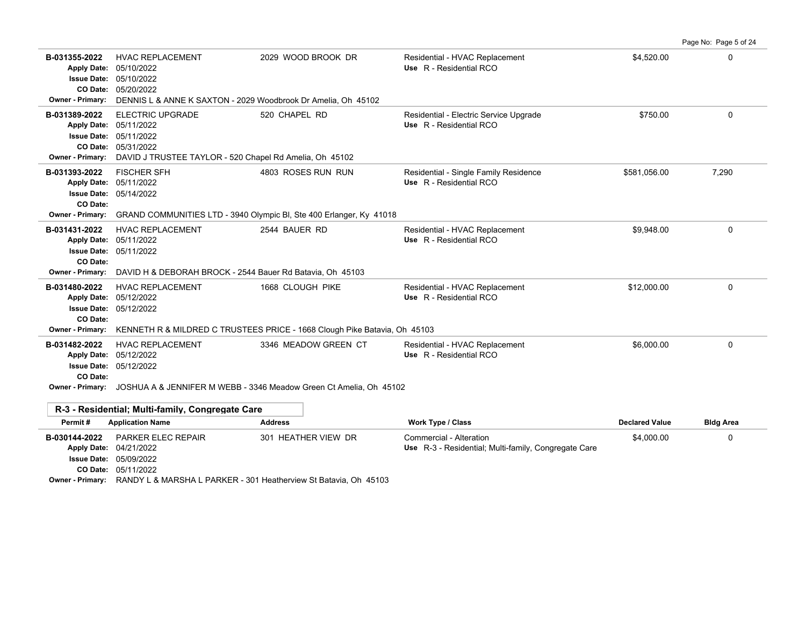|                                                                                                  |                                                                                                                                                                                                                                               |                                                                                               |                                                                                 |                       | Page No: Page 5 of 24 |  |  |  |  |
|--------------------------------------------------------------------------------------------------|-----------------------------------------------------------------------------------------------------------------------------------------------------------------------------------------------------------------------------------------------|-----------------------------------------------------------------------------------------------|---------------------------------------------------------------------------------|-----------------------|-----------------------|--|--|--|--|
| B-031355-2022<br><b>Apply Date:</b><br><b>Issue Date:</b><br>CO Date:<br><b>Owner - Primary:</b> | <b>HVAC REPLACEMENT</b><br>05/10/2022<br>05/10/2022<br>05/20/2022<br>DENNIS L & ANNE K SAXTON - 2029 Woodbrook Dr Amelia. Oh 45102                                                                                                            | 2029 WOOD BROOK DR                                                                            | Residential - HVAC Replacement<br>Use R - Residential RCO                       | \$4,520.00            | 0                     |  |  |  |  |
| B-031389-2022<br><b>Apply Date:</b><br><b>Issue Date:</b><br>CO Date:<br><b>Owner - Primary:</b> | <b>ELECTRIC UPGRADE</b><br>05/11/2022<br>05/11/2022<br>05/31/2022<br>DAVID J TRUSTEE TAYLOR - 520 Chapel Rd Amelia, Oh 45102                                                                                                                  | 520 CHAPEL RD                                                                                 | Residential - Electric Service Upgrade<br>Use R - Residential RCO               | \$750.00              | 0                     |  |  |  |  |
| B-031393-2022<br><b>Apply Date:</b><br><b>Issue Date:</b><br>CO Date:<br><b>Owner - Primary:</b> | <b>FISCHER SFH</b><br>05/11/2022<br>05/14/2022                                                                                                                                                                                                | 4803 ROSES RUN RUN<br>GRAND COMMUNITIES LTD - 3940 Olympic BI, Ste 400 Erlanger, Ky 41018     | Residential - Single Family Residence<br>Use R - Residential RCO                | \$581,056.00          | 7,290                 |  |  |  |  |
| B-031431-2022<br><b>Apply Date:</b><br><b>Issue Date:</b><br>CO Date:<br>Owner - Primary:        | <b>HVAC REPLACEMENT</b><br>05/11/2022<br>05/11/2022<br>DAVID H & DEBORAH BROCK - 2544 Bauer Rd Batavia, Oh 45103                                                                                                                              | 2544 BAUER RD                                                                                 | Residential - HVAC Replacement<br>Use R - Residential RCO                       | \$9,948.00            | 0                     |  |  |  |  |
| B-031480-2022<br><b>Issue Date:</b><br>CO Date:<br>Owner - Primary:                              | <b>HVAC REPLACEMENT</b><br>Apply Date: 05/12/2022<br>05/12/2022                                                                                                                                                                               | 1668 CLOUGH PIKE<br>KENNETH R & MILDRED C TRUSTEES PRICE - 1668 Clough Pike Batavia, Oh 45103 | Residential - HVAC Replacement<br>Use R - Residential RCO                       | \$12,000.00           | 0                     |  |  |  |  |
| B-031482-2022<br><b>Issue Date:</b><br>CO Date:<br><b>Owner - Primary:</b>                       | 0<br>\$6,000.00<br><b>HVAC REPLACEMENT</b><br>3346 MEADOW GREEN CT<br>Residential - HVAC Replacement<br>Use R - Residential RCO<br>Apply Date: 05/12/2022<br>05/12/2022<br>JOSHUA A & JENNIFER M WEBB - 3346 Meadow Green Ct Amelia, Oh 45102 |                                                                                               |                                                                                 |                       |                       |  |  |  |  |
|                                                                                                  | R-3 - Residential; Multi-family, Congregate Care                                                                                                                                                                                              |                                                                                               |                                                                                 |                       |                       |  |  |  |  |
| Permit#                                                                                          | <b>Application Name</b>                                                                                                                                                                                                                       | <b>Address</b>                                                                                | <b>Work Type / Class</b>                                                        | <b>Declared Value</b> | <b>Bldg Area</b>      |  |  |  |  |
| B-030144-2022                                                                                    | <b>PARKER ELEC REPAIR</b><br>Apply Date: 04/21/2022<br><b>Issue Date: 05/09/2022</b>                                                                                                                                                          | 301 HEATHER VIEW DR                                                                           | Commercial - Alteration<br>Use R-3 - Residential; Multi-family, Congregate Care | \$4,000.00            | 0                     |  |  |  |  |

05/11/2022 **CO Date:**

**Owner - Primary:** RANDY L & MARSHA L PARKER - 301 Heatherview St Batavia, Oh 45103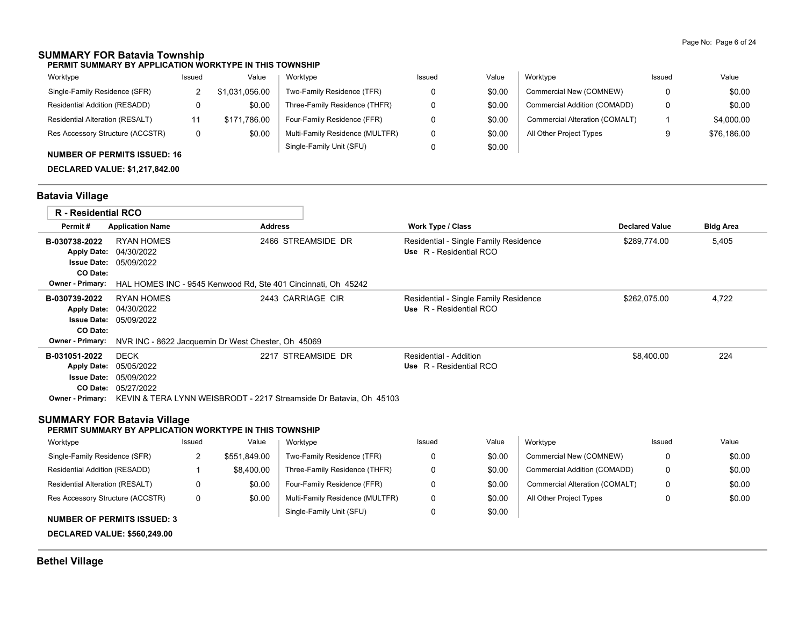### **SUMMARY FOR Batavia Township**

**PERMIT SUMMARY BY APPLICATION WORKTYPE IN THIS TOWNSHIP**

| Worktype                               | Issued | Value          | Worktype                        | Issued | Value  | Worktype                       | Issued | Value       |
|----------------------------------------|--------|----------------|---------------------------------|--------|--------|--------------------------------|--------|-------------|
| Single-Family Residence (SFR)          |        | \$1,031,056.00 | Two-Family Residence (TFR)      |        | \$0.00 | Commercial New (COMNEW)        | 0      | \$0.00      |
| Residential Addition (RESADD)          |        | \$0.00         | Three-Family Residence (THFR)   |        | \$0.00 | Commercial Addition (COMADD)   | 0      | \$0.00      |
| <b>Residential Alteration (RESALT)</b> |        | \$171.786.00   | Four-Family Residence (FFR)     |        | \$0.00 | Commercial Alteration (COMALT) |        | \$4,000.00  |
| Res Accessory Structure (ACCSTR)       |        | \$0.00         | Multi-Family Residence (MULTFR) |        | \$0.00 | All Other Project Types        |        | \$76,186,00 |
| AUBURER OF BEBRUTO IOOUER, 10          |        |                | Single-Family Unit (SFU)        |        | \$0.00 |                                |        |             |

### **NUMBER OF PERMITS ISSUED: 16**

**DECLARED VALUE: \$1,217,842.00**

### **Batavia Village**

|                                                                                                  | <b>R</b> - Residential RCO                                                                                                        |                                                                                         |                                                         |                                                                    |                                                                  |        |                                |                       |                  |
|--------------------------------------------------------------------------------------------------|-----------------------------------------------------------------------------------------------------------------------------------|-----------------------------------------------------------------------------------------|---------------------------------------------------------|--------------------------------------------------------------------|------------------------------------------------------------------|--------|--------------------------------|-----------------------|------------------|
| Permit#                                                                                          | <b>Application Name</b>                                                                                                           |                                                                                         | <b>Address</b>                                          |                                                                    | Work Type / Class                                                |        |                                | <b>Declared Value</b> | <b>Bldg Area</b> |
| B-030738-2022<br><b>Apply Date:</b><br>CO Date:<br><b>Owner - Primary:</b>                       | <b>RYAN HOMES</b><br>04/30/2022<br><b>Issue Date: 05/09/2022</b><br>HAL HOMES INC - 9545 Kenwood Rd, Ste 401 Cincinnati, Oh 45242 |                                                                                         |                                                         | 2466 STREAMSIDE DR                                                 | Residential - Single Family Residence<br>Use R - Residential RCO |        |                                | \$289,774.00          | 5,405            |
| B-030739-2022<br><b>Apply Date:</b><br><b>Issue Date:</b><br>CO Date:<br><b>Owner - Primary:</b> | <b>RYAN HOMES</b><br>04/30/2022<br>05/09/2022                                                                                     |                                                                                         |                                                         | 2443 CARRIAGE CIR                                                  | Residential - Single Family Residence<br>Use R - Residential RCO |        |                                | \$262,075.00          | 4,722            |
|                                                                                                  |                                                                                                                                   | NVR INC - 8622 Jacquemin Dr West Chester, Oh 45069<br>2217 STREAMSIDE DR<br><b>DECK</b> |                                                         |                                                                    |                                                                  |        |                                |                       |                  |
| B-031051-2022<br><b>Apply Date:</b>                                                              | 05/05/2022                                                                                                                        |                                                                                         |                                                         |                                                                    | Residential - Addition<br>Use R - Residential RCO                |        |                                | \$8.400.00            | 224              |
| <b>Issue Date:</b>                                                                               | 05/09/2022                                                                                                                        |                                                                                         |                                                         |                                                                    |                                                                  |        |                                |                       |                  |
|                                                                                                  | CO Date: 05/27/2022                                                                                                               |                                                                                         |                                                         |                                                                    |                                                                  |        |                                |                       |                  |
| <b>Owner - Primary:</b>                                                                          |                                                                                                                                   |                                                                                         |                                                         | KEVIN & TERA LYNN WEISBRODT - 2217 Streamside Dr Batavia, Oh 45103 |                                                                  |        |                                |                       |                  |
| <b>SUMMARY FOR Batavia Village</b>                                                               |                                                                                                                                   |                                                                                         | PERMIT SUMMARY BY APPLICATION WORKTYPE IN THIS TOWNSHIP |                                                                    |                                                                  |        |                                |                       |                  |
| Worktype                                                                                         |                                                                                                                                   | Issued                                                                                  | Value                                                   | Worktype                                                           | Issued                                                           | Value  | Worktype                       | Issued                | Value            |
| Single-Family Residence (SFR)                                                                    |                                                                                                                                   | 2                                                                                       | \$551,849.00                                            | Two-Family Residence (TFR)                                         | 0                                                                | \$0.00 | Commercial New (COMNEW)        | $\Omega$              | \$0.00           |
| Residential Addition (RESADD)                                                                    |                                                                                                                                   |                                                                                         | \$8.400.00                                              | Three-Family Residence (THFR)                                      | 0                                                                | \$0.00 | Commercial Addition (COMADD)   | $\Omega$              | \$0.00           |
| <b>Residential Alteration (RESALT)</b>                                                           |                                                                                                                                   | 0                                                                                       | \$0.00                                                  | Four-Family Residence (FFR)                                        | 0                                                                | \$0.00 | Commercial Alteration (COMALT) | $\Omega$              | \$0.00           |

 0 0 \$0.00 \$0.00

Single-Family Unit (SFU) Multi-Family Residence (MULTFR) All Other Project Types

0

\$0.00

#### **NUMBER OF PERMITS ISSUED: 3**

0

\$0.00

Res Accessory Structure (ACCSTR)

**DECLARED VALUE: \$560,249.00**

## **Bethel Village**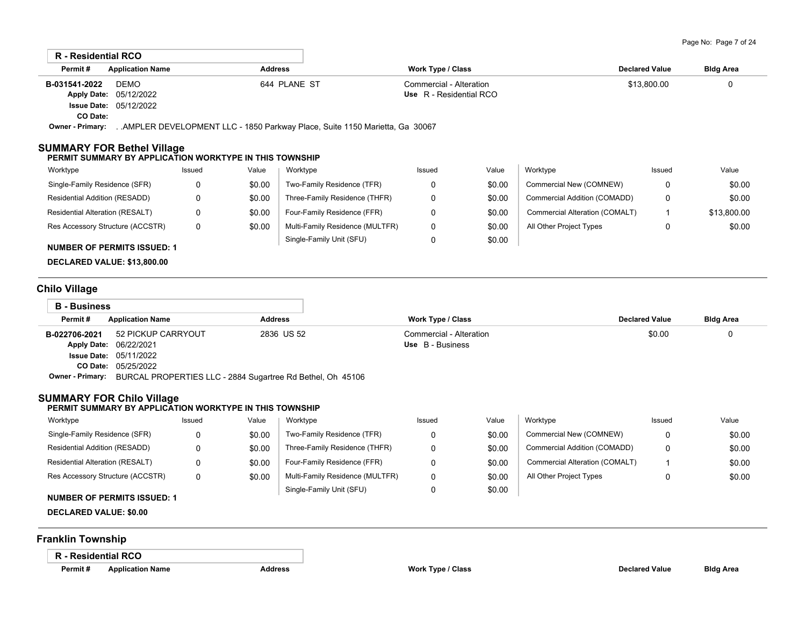|                                        | <b>R</b> - Residential RCO<br>Permit#<br><b>Application Name</b><br><b>Address</b> |              |        |                                                                               |                         |                       |                                |              |             |  |
|----------------------------------------|------------------------------------------------------------------------------------|--------------|--------|-------------------------------------------------------------------------------|-------------------------|-----------------------|--------------------------------|--------------|-------------|--|
|                                        |                                                                                    |              |        | <b>Work Type / Class</b>                                                      |                         | <b>Declared Value</b> | <b>Bldg Area</b>               |              |             |  |
| B-031541-2022                          | <b>DEMO</b>                                                                        | 644 PLANE ST |        |                                                                               | Commercial - Alteration |                       |                                | \$13,800.00  | 0           |  |
| <b>Apply Date:</b>                     | 05/12/2022                                                                         |              |        |                                                                               | Use R - Residential RCO |                       |                                |              |             |  |
| <b>Issue Date:</b>                     | 05/12/2022                                                                         |              |        |                                                                               |                         |                       |                                |              |             |  |
| CO Date:                               |                                                                                    |              |        |                                                                               |                         |                       |                                |              |             |  |
| <b>Owner - Primary:</b>                |                                                                                    |              |        | . .AMPLER DEVELOPMENT LLC - 1850 Parkway Place, Suite 1150 Marietta, Ga 30067 |                         |                       |                                |              |             |  |
| SUMMARY FOR Bethel Village<br>Worktype | PERMIT SUMMARY BY APPLICATION WORKTYPE IN THIS TOWNSHIP                            | Issued       | Value  | Worktype                                                                      | Issued                  | Value                 | Worktype                       | Issued       | Value       |  |
| Single-Family Residence (SFR)          |                                                                                    | 0            | \$0.00 | Two-Family Residence (TFR)                                                    | 0                       | \$0.00                | Commercial New (COMNEW)        | 0            | \$0.00      |  |
| Residential Addition (RESADD)          |                                                                                    | 0            | \$0.00 | Three-Family Residence (THFR)                                                 | 0                       | \$0.00                | Commercial Addition (COMADD)   | $\mathbf{0}$ | \$0.00      |  |
| Residential Alteration (RESALT)        |                                                                                    | 0            | \$0.00 | Four-Family Residence (FFR)                                                   | 0                       | \$0.00                | Commercial Alteration (COMALT) |              | \$13,800.00 |  |
| Res Accessory Structure (ACCSTR)       |                                                                                    | 0            | \$0.00 | Multi-Family Residence (MULTFR)                                               | 0                       | \$0.00                | All Other Project Types        | 0            | \$0.00      |  |
|                                        | <b>NUMBER OF PERMITS ISSUED: 1</b>                                                 |              |        | Single-Family Unit (SFU)                                                      | 0                       | \$0.00                |                                |              |             |  |

**DECLARED VALUE: \$13,800.00**

## **Chilo Village**

| <b>B</b> - Business     |                                                            |                |                         |                       |                  |  |
|-------------------------|------------------------------------------------------------|----------------|-------------------------|-----------------------|------------------|--|
| Permit#                 | <b>Application Name</b>                                    | <b>Address</b> | Work Type / Class       | <b>Declared Value</b> | <b>Bldg Area</b> |  |
| B-022706-2021           | 52 PICKUP CARRYOUT                                         | 2836 US 52     | Commercial - Alteration | \$0.00                |                  |  |
|                         | Apply Date: 06/22/2021                                     |                | Use B - Business        |                       |                  |  |
|                         | <b>Issue Date: 05/11/2022</b>                              |                |                         |                       |                  |  |
|                         | <b>CO Date: 05/25/2022</b>                                 |                |                         |                       |                  |  |
| <b>Owner - Primary:</b> | BURCAL PROPERTIES LLC - 2884 Sugartree Rd Bethel, Oh 45106 |                |                         |                       |                  |  |
|                         |                                                            |                |                         |                       |                  |  |

### **SUMMARY FOR Chilo Village**

#### **PERMIT SUMMARY BY APPLICATION WORKTYPE IN THIS TOWNSHIP**

| Worktype                         | Issued | Value  | Worktype                        | Issued | Value  | Worktype                       | Issued | Value  |
|----------------------------------|--------|--------|---------------------------------|--------|--------|--------------------------------|--------|--------|
| Single-Family Residence (SFR)    |        | \$0.00 | Two-Family Residence (TFR)      |        | \$0.00 | Commercial New (COMNEW)        |        | \$0.00 |
| Residential Addition (RESADD)    |        | \$0.00 | Three-Family Residence (THFR)   |        | \$0.00 | Commercial Addition (COMADD)   |        | \$0.00 |
| Residential Alteration (RESALT)  |        | \$0.00 | Four-Family Residence (FFR)     |        | \$0.00 | Commercial Alteration (COMALT) |        | \$0.00 |
| Res Accessory Structure (ACCSTR) |        | \$0.00 | Multi-Family Residence (MULTFR) |        | \$0.00 | All Other Project Types        |        | \$0.00 |
| NUMBER OF BERMITO IOQUER, 4      |        |        | Single-Family Unit (SFU)        |        | \$0.00 |                                |        |        |

### **NUMBER OF PERMITS ISSUED: 1**

**DECLARED VALUE: \$0.00**

### **Franklin Township**

### **R - Residential RCO**

| Permit# | Applicatio |
|---------|------------|
|---------|------------|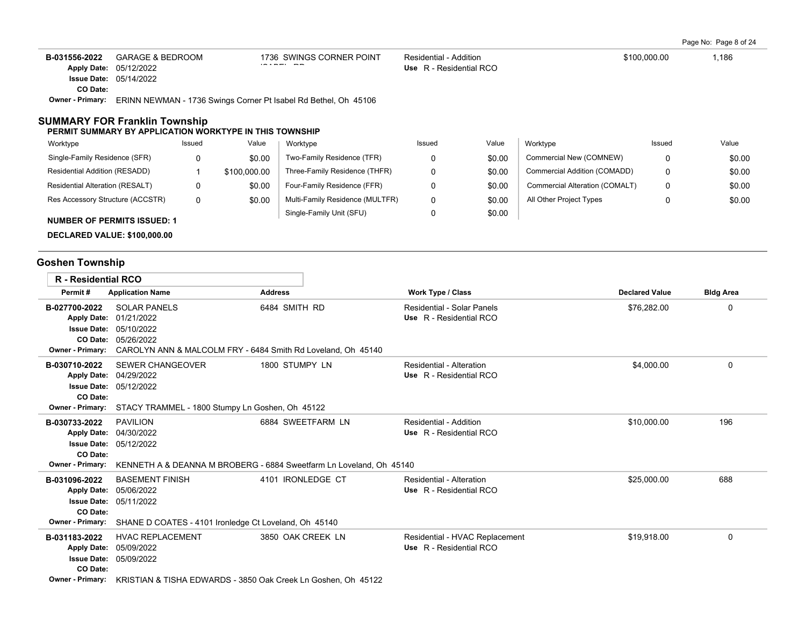Page No: Page 8 of 24

| B-031556-2022    | GARAGE & BEDROOM                                                | 1736 SWINGS CORNER POINT | Residential - Addition  | \$100,000.00 | .186 |
|------------------|-----------------------------------------------------------------|--------------------------|-------------------------|--------------|------|
|                  | <b>Apply Date: 05/12/2022</b>                                   | $    -$                  | Use R - Residential RCO |              |      |
|                  | <b>Issue Date: 05/14/2022</b>                                   |                          |                         |              |      |
| CO Date:         |                                                                 |                          |                         |              |      |
| Owner - Primary: | ERINN NEWMAN - 1736 Swings Corner Pt Isabel Rd Bethel, Oh 45106 |                          |                         |              |      |

### **SUMMARY FOR Franklin Township**

#### **PERMIT SUMMARY BY APPLICATION WORKTYPE IN THIS TOWNSHIP**

| Worktype                               | Issued | Value        | Worktvpe                        | Issued | Value  | Worktype                       | Issued | Value  |
|----------------------------------------|--------|--------------|---------------------------------|--------|--------|--------------------------------|--------|--------|
| Single-Family Residence (SFR)          | 0      | \$0.00       | Two-Family Residence (TFR)      |        | \$0.00 | Commercial New (COMNEW)        |        | \$0.00 |
| Residential Addition (RESADD)          |        | \$100,000.00 | Three-Family Residence (THFR)   |        | \$0.00 | Commercial Addition (COMADD)   |        | \$0.00 |
| <b>Residential Alteration (RESALT)</b> | 0      | \$0.00       | Four-Family Residence (FFR)     |        | \$0.00 | Commercial Alteration (COMALT) |        | \$0.00 |
| Res Accessory Structure (ACCSTR)       | 0      | \$0.00       | Multi-Family Residence (MULTFR) |        | \$0.00 | All Other Project Types        |        | \$0.00 |
| <b>NUMBER OF PERMITS ISSUED: 1</b>     |        |              | Single-Family Unit (SFU)        |        | \$0.00 |                                |        |        |

**DECLARED VALUE: \$100,000.00**

# **Goshen Township**

| <b>R</b> - Residential RCO                                                 |                                                                                                                                                           |                                                                                          |                                                           |                       |                  |
|----------------------------------------------------------------------------|-----------------------------------------------------------------------------------------------------------------------------------------------------------|------------------------------------------------------------------------------------------|-----------------------------------------------------------|-----------------------|------------------|
| Permit#                                                                    | <b>Application Name</b>                                                                                                                                   | <b>Address</b>                                                                           | <b>Work Type / Class</b>                                  | <b>Declared Value</b> | <b>Bldg Area</b> |
| B-027700-2022<br><b>Apply Date:</b><br><b>Owner - Primary:</b>             | <b>SOLAR PANELS</b><br>01/21/2022<br><b>Issue Date: 05/10/2022</b><br>CO Date: 05/26/2022<br>CAROLYN ANN & MALCOLM FRY - 6484 Smith Rd Loveland, Oh 45140 | 6484 SMITH RD                                                                            | Residential - Solar Panels<br>Use R - Residential RCO     | \$76,282.00           | 0                |
| B-030710-2022<br>CO Date:<br><b>Owner - Primary:</b>                       | <b>SEWER CHANGEOVER</b><br>Apply Date: 04/29/2022<br><b>Issue Date: 05/12/2022</b><br>STACY TRAMMEL - 1800 Stumpy Ln Goshen, Oh 45122                     | 1800 STUMPY LN                                                                           | Residential - Alteration<br>Use R - Residential RCO       | \$4,000.00            | 0                |
| B-030733-2022<br>CO Date:<br><b>Owner - Primary:</b>                       | <b>PAVILION</b><br>Apply Date: 04/30/2022<br><b>Issue Date: 05/12/2022</b>                                                                                | 6884 SWEETFARM LN<br>KENNETH A & DEANNA M BROBERG - 6884 Sweetfarm Ln Loveland, Oh 45140 | Residential - Addition<br>Use R - Residential RCO         | \$10,000.00           | 196              |
| B-031096-2022<br><b>Apply Date:</b><br>CO Date:<br><b>Owner - Primary:</b> | <b>BASEMENT FINISH</b><br>05/06/2022<br><b>Issue Date: 05/11/2022</b><br>SHANE D COATES - 4101 Ironledge Ct Loveland, Oh 45140                            | 4101 IRONLEDGE CT                                                                        | Residential - Alteration<br>Use R - Residential RCO       | \$25,000.00           | 688              |
| B-031183-2022<br><b>Apply Date:</b><br>CO Date:                            | <b>HVAC REPLACEMENT</b><br>05/09/2022<br><b>Issue Date: 05/09/2022</b><br>Owner - Primary: KRISTIAN & TISHA EDWARDS - 3850 Oak Creek Ln Goshen, Oh 45122  | 3850 OAK CREEK LN                                                                        | Residential - HVAC Replacement<br>Use R - Residential RCO | \$19,918.00           | 0                |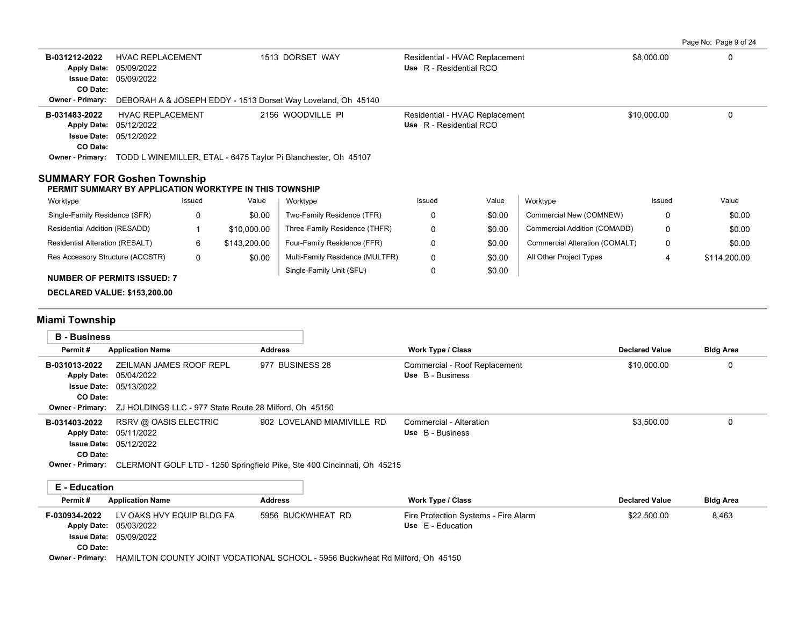Page No: Page 9 of 24

| B-031212-2022<br><b>HVAC REPLACEMENT</b><br>05/09/2022<br><b>Apply Date:</b><br><b>Issue Date: 05/09/2022</b><br>CO Date:                                                                          |                                                                        |        | 1513 DORSET WAY                                                                                                        | Residential - HVAC Replacement<br>Use R - Residential RCO                                                           |                                                           |        | \$8,000.00                     |                       |                  |
|----------------------------------------------------------------------------------------------------------------------------------------------------------------------------------------------------|------------------------------------------------------------------------|--------|------------------------------------------------------------------------------------------------------------------------|---------------------------------------------------------------------------------------------------------------------|-----------------------------------------------------------|--------|--------------------------------|-----------------------|------------------|
| <b>Owner - Primary:</b>                                                                                                                                                                            |                                                                        |        |                                                                                                                        | DEBORAH A & JOSEPH EDDY - 1513 Dorset Way Loveland, Oh 45140                                                        |                                                           |        |                                |                       |                  |
| B-031483-2022<br><b>Apply Date:</b><br>CO Date:                                                                                                                                                    | <b>HVAC REPLACEMENT</b><br>05/12/2022<br><b>Issue Date: 05/12/2022</b> |        |                                                                                                                        | 2156 WOODVILLE PI                                                                                                   | Residential - HVAC Replacement<br>Use R - Residential RCO |        |                                | \$10,000.00           | $\mathbf 0$      |
|                                                                                                                                                                                                    |                                                                        |        |                                                                                                                        | Owner - Primary: TODD L WINEMILLER, ETAL - 6475 Taylor Pi Blanchester, Oh 45107                                     |                                                           |        |                                |                       |                  |
| <b>SUMMARY FOR Goshen Township</b><br>PERMIT SUMMARY BY APPLICATION WORKTYPE IN THIS TOWNSHIP                                                                                                      |                                                                        |        |                                                                                                                        |                                                                                                                     |                                                           |        |                                |                       |                  |
| Worktype                                                                                                                                                                                           |                                                                        | Issued | Value                                                                                                                  | Worktype                                                                                                            | Issued                                                    | Value  | Worktype                       | Issued                | Value            |
| Single-Family Residence (SFR)                                                                                                                                                                      |                                                                        | 0      | \$0.00                                                                                                                 | Two-Family Residence (TFR)                                                                                          | 0                                                         | \$0.00 | Commercial New (COMNEW)        | 0                     | \$0.00           |
| Residential Addition (RESADD)                                                                                                                                                                      |                                                                        | 1      | \$10,000.00                                                                                                            | Three-Family Residence (THFR)                                                                                       | 0                                                         | \$0.00 | Commercial Addition (COMADD)   | 0                     | \$0.00           |
| Residential Alteration (RESALT)                                                                                                                                                                    |                                                                        | 6      | \$143,200.00                                                                                                           | Four-Family Residence (FFR)                                                                                         | $\mathbf 0$                                               | \$0.00 | Commercial Alteration (COMALT) | 0                     | \$0.00           |
| Res Accessory Structure (ACCSTR)                                                                                                                                                                   |                                                                        | 0      | \$0.00                                                                                                                 | Multi-Family Residence (MULTFR)                                                                                     | 0                                                         | \$0.00 | All Other Project Types        | 4                     | \$114,200.00     |
| <b>NUMBER OF PERMITS ISSUED: 7</b>                                                                                                                                                                 |                                                                        |        |                                                                                                                        | Single-Family Unit (SFU)                                                                                            | 0                                                         | \$0.00 |                                |                       |                  |
| <b>DECLARED VALUE: \$153,200.00</b>                                                                                                                                                                |                                                                        |        |                                                                                                                        |                                                                                                                     |                                                           |        |                                |                       |                  |
|                                                                                                                                                                                                    |                                                                        |        |                                                                                                                        |                                                                                                                     |                                                           |        |                                |                       |                  |
| Miami Township                                                                                                                                                                                     |                                                                        |        |                                                                                                                        |                                                                                                                     |                                                           |        |                                |                       |                  |
| <b>B</b> - Business                                                                                                                                                                                |                                                                        |        |                                                                                                                        |                                                                                                                     |                                                           |        |                                |                       |                  |
| Permit#                                                                                                                                                                                            | <b>Application Name</b>                                                |        | <b>Address</b>                                                                                                         |                                                                                                                     | <b>Work Type / Class</b>                                  |        |                                | <b>Declared Value</b> | <b>Bldg Area</b> |
| ZEILMAN JAMES ROOF REPL<br>B-031013-2022<br>Apply Date: 05/04/2022<br><b>Issue Date: 05/13/2022</b><br>CO Date:                                                                                    |                                                                        |        | 977 BUSINESS 28                                                                                                        | Commercial - Roof Replacement<br>Use B - Business                                                                   |                                                           |        | \$10,000.00                    | 0                     |                  |
| <b>Owner - Primary:</b><br>ZJ HOLDINGS LLC - 977 State Route 28 Milford, Oh 45150<br>RSRV @ OASIS ELECTRIC<br>B-031403-2022<br>Apply Date: 05/11/2022<br><b>Issue Date: 05/12/2022</b><br>CO Date: |                                                                        |        | 902 LOVELAND MIAMIVILLE RD<br>Owner - Primary: CLERMONT GOLF LTD - 1250 Springfield Pike, Ste 400 Cincinnati, Oh 45215 | Commercial - Alteration<br>Use B - Business                                                                         |                                                           |        | \$3,500.00                     | $\mathbf 0$           |                  |
|                                                                                                                                                                                                    |                                                                        |        |                                                                                                                        |                                                                                                                     |                                                           |        |                                |                       |                  |
| <b>E</b> - Education<br>Permit#                                                                                                                                                                    | <b>Application Name</b>                                                |        | <b>Address</b>                                                                                                         |                                                                                                                     | <b>Work Type / Class</b>                                  |        |                                | <b>Declared Value</b> | <b>Bldg Area</b> |
| F-030934-2022<br>Apply Date: 05/03/2022<br>CO Date:                                                                                                                                                | LV OAKS HVY EQUIP BLDG FA<br><b>Issue Date: 05/09/2022</b>             |        |                                                                                                                        | 5956 BUCKWHEAT RD<br>Owner - Primary: HAMILTON COUNTY JOINT VOCATIONAL SCHOOL - 5956 Buckwheat Rd Milford, Oh 45150 | Fire Protection Systems - Fire Alarm<br>Use E - Education |        |                                | \$22,500.00           | 8,463            |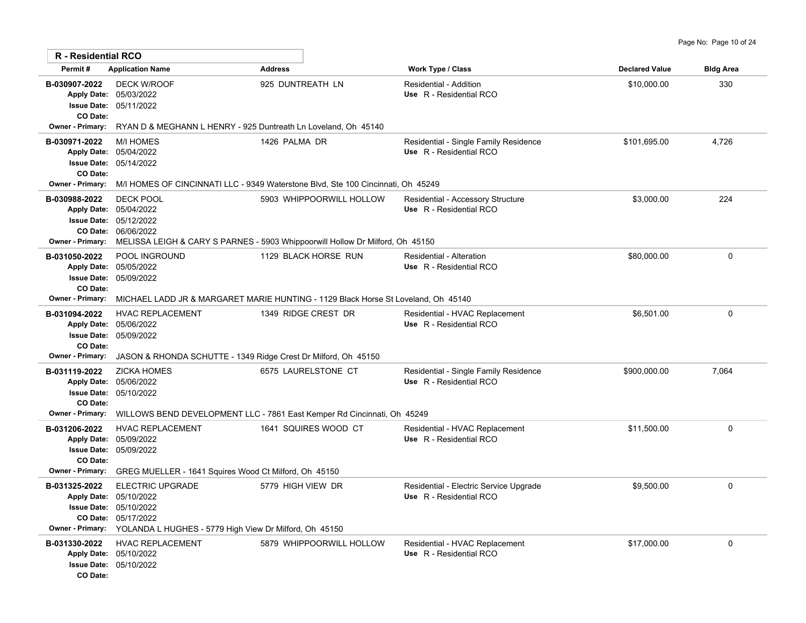| <b>R</b> - Residential RCO                                                      |                                                                                                                                                                                      |                                                                                                           |                                                                   |                       |                  |
|---------------------------------------------------------------------------------|--------------------------------------------------------------------------------------------------------------------------------------------------------------------------------------|-----------------------------------------------------------------------------------------------------------|-------------------------------------------------------------------|-----------------------|------------------|
| Permit#                                                                         | <b>Application Name</b>                                                                                                                                                              | <b>Address</b>                                                                                            | Work Type / Class                                                 | <b>Declared Value</b> | <b>Bldg Area</b> |
| B-030907-2022<br>Apply Date: 05/03/2022<br>CO Date:                             | <b>DECK W/ROOF</b><br><b>Issue Date: 05/11/2022</b>                                                                                                                                  | 925 DUNTREATH LN                                                                                          | Residential - Addition<br>Use R - Residential RCO                 | \$10,000.00           | 330              |
| Owner - Primary:                                                                | RYAN D & MEGHANN L HENRY - 925 Duntreath Ln Loveland, Oh 45140                                                                                                                       |                                                                                                           |                                                                   |                       |                  |
| B-030971-2022<br>CO Date:<br><b>Owner - Primary:</b>                            | <b>M/I HOMES</b><br>Apply Date: 05/04/2022<br><b>Issue Date: 05/14/2022</b>                                                                                                          | 1426 PALMA DR<br>M/I HOMES OF CINCINNATI LLC - 9349 Waterstone Blvd, Ste 100 Cincinnati, Oh 45249         | Residential - Single Family Residence<br>Use R - Residential RCO  | \$101,695.00          | 4,726            |
| B-030988-2022<br>Apply Date: 05/04/2022<br><b>Owner - Primary:</b>              | <b>DECK POOL</b><br><b>Issue Date: 05/12/2022</b><br>CO Date: 06/06/2022                                                                                                             | 5903 WHIPPOORWILL HOLLOW<br>MELISSA LEIGH & CARY S PARNES - 5903 Whippoorwill Hollow Dr Milford, Oh 45150 | Residential - Accessory Structure<br>Use R - Residential RCO      | \$3,000.00            | 224              |
| B-031050-2022<br>Apply Date: 05/05/2022<br>CO Date:<br><b>Owner - Primary:</b>  | POOL INGROUND<br><b>Issue Date: 05/09/2022</b>                                                                                                                                       | 1129 BLACK HORSE RUN<br>MICHAEL LADD JR & MARGARET MARIE HUNTING - 1129 Black Horse St Loveland, Oh 45140 | <b>Residential - Alteration</b><br>Use R - Residential RCO        | \$80,000.00           | 0                |
| B-031094-2022<br>Apply Date: 05/06/2022<br>CO Date:                             | <b>HVAC REPLACEMENT</b><br>Issue Date: 05/09/2022                                                                                                                                    | 1349 RIDGE CREST DR                                                                                       | Residential - HVAC Replacement<br>Use R - Residential RCO         | \$6,501.00            | 0                |
| <b>Owner - Primary:</b><br>B-031119-2022<br>CO Date:<br><b>Owner - Primary:</b> | JASON & RHONDA SCHUTTE - 1349 Ridge Crest Dr Milford, Oh 45150<br><b>ZICKA HOMES</b><br>Apply Date: 05/06/2022<br><b>Issue Date: 05/10/2022</b>                                      | 6575 LAURELSTONE CT<br>WILLOWS BEND DEVELOPMENT LLC - 7861 East Kemper Rd Cincinnati, Oh 45249            | Residential - Single Family Residence<br>Use R - Residential RCO  | \$900,000.00          | 7,064            |
| B-031206-2022<br>CO Date:<br><b>Owner - Primary:</b>                            | <b>HVAC REPLACEMENT</b><br>Apply Date: 05/09/2022<br>Issue Date: 05/09/2022<br>GREG MUELLER - 1641 Squires Wood Ct Milford, Oh 45150                                                 | 1641 SQUIRES WOOD CT                                                                                      | Residential - HVAC Replacement<br>Use R - Residential RCO         | \$11,500.00           | 0                |
| B-031325-2022                                                                   | <b>ELECTRIC UPGRADE</b><br>Apply Date: 05/10/2022<br><b>Issue Date: 05/10/2022</b><br>CO Date: 05/17/2022<br>Owner - Primary: YOLANDA L HUGHES - 5779 High View Dr Milford, Oh 45150 | 5779 HIGH VIEW DR                                                                                         | Residential - Electric Service Upgrade<br>Use R - Residential RCO | \$9,500.00            | 0                |
| B-031330-2022<br>Apply Date: 05/10/2022<br>CO Date:                             | HVAC REPLACEMENT<br>Issue Date: 05/10/2022                                                                                                                                           | 5879 WHIPPOORWILL HOLLOW                                                                                  | Residential - HVAC Replacement<br>Use R - Residential RCO         | \$17,000.00           | 0                |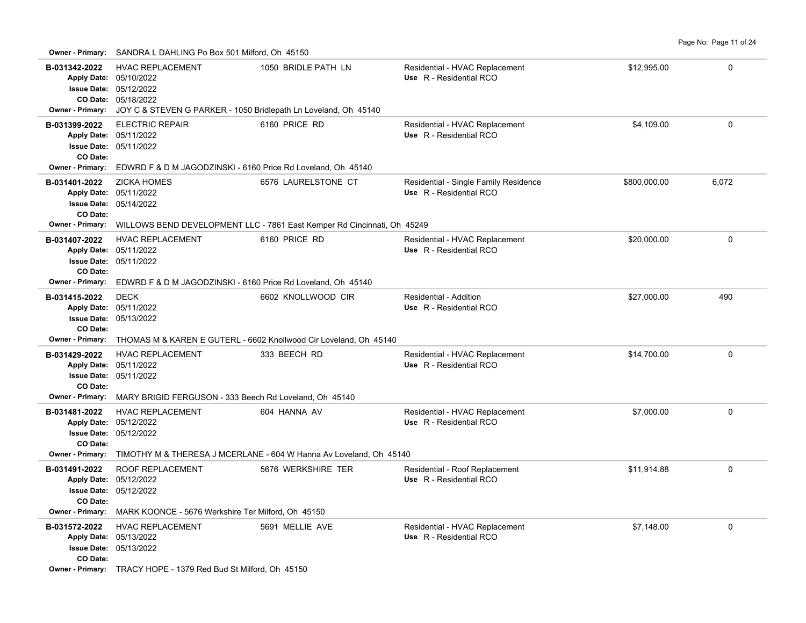|  | Page No: Page 11 of 24 |  |  |
|--|------------------------|--|--|
|  |                        |  |  |

| <b>Owner - Primary:</b>                              | SANDRA L DAHLING Po Box 501 Milford, Oh 45150                                                                                                                                |                                                                         |                                                                  |              |             |  |  |  |  |
|------------------------------------------------------|------------------------------------------------------------------------------------------------------------------------------------------------------------------------------|-------------------------------------------------------------------------|------------------------------------------------------------------|--------------|-------------|--|--|--|--|
| B-031342-2022<br><b>Owner - Primary:</b>             | <b>HVAC REPLACEMENT</b><br>Apply Date: 05/10/2022<br><b>Issue Date: 05/12/2022</b><br>CO Date: 05/18/2022<br>JOY C & STEVEN G PARKER - 1050 Bridlepath Ln Loveland, Oh 45140 | 1050 BRIDLE PATH LN                                                     | Residential - HVAC Replacement<br>Use R - Residential RCO        | \$12,995.00  | $\Omega$    |  |  |  |  |
| B-031399-2022<br>CO Date:                            | <b>ELECTRIC REPAIR</b><br>Apply Date: 05/11/2022<br>Issue Date: 05/11/2022                                                                                                   | 6160 PRICE RD                                                           | Residential - HVAC Replacement<br>Use R - Residential RCO        | \$4,109.00   | $\Omega$    |  |  |  |  |
| Owner - Primary:                                     | EDWRD F & D M JAGODZINSKI - 6160 Price Rd Loveland, Oh 45140                                                                                                                 |                                                                         |                                                                  |              |             |  |  |  |  |
| B-031401-2022<br>CO Date:                            | <b>ZICKA HOMES</b><br>Apply Date: 05/11/2022<br><b>Issue Date: 05/14/2022</b>                                                                                                | 6576 LAURELSTONE CT                                                     | Residential - Single Family Residence<br>Use R - Residential RCO | \$800,000.00 | 6,072       |  |  |  |  |
| <b>Owner - Primary:</b>                              |                                                                                                                                                                              | WILLOWS BEND DEVELOPMENT LLC - 7861 East Kemper Rd Cincinnati, Oh 45249 |                                                                  |              |             |  |  |  |  |
| B-031407-2022<br>Apply Date: 05/11/2022<br>CO Date:  | <b>HVAC REPLACEMENT</b><br><b>Issue Date: 05/11/2022</b>                                                                                                                     | 6160 PRICE RD                                                           | Residential - HVAC Replacement<br>Use R - Residential RCO        | \$20,000.00  | $\mathbf 0$ |  |  |  |  |
| Owner - Primary:                                     | EDWRD F & D M JAGODZINSKI - 6160 Price Rd Loveland, Oh 45140                                                                                                                 |                                                                         |                                                                  |              |             |  |  |  |  |
| B-031415-2022<br>Apply Date: 05/11/2022<br>CO Date:  | <b>DECK</b><br><b>Issue Date: 05/13/2022</b>                                                                                                                                 | 6602 KNOLLWOOD CIR                                                      | Residential - Addition<br>Use R - Residential RCO                | \$27,000.00  | 490         |  |  |  |  |
| Owner - Primary:                                     | THOMAS M & KAREN E GUTERL - 6602 Knollwood Cir Loveland, Oh 45140                                                                                                            |                                                                         |                                                                  |              |             |  |  |  |  |
| B-031429-2022<br>CO Date:                            | <b>HVAC REPLACEMENT</b><br>Apply Date: 05/11/2022<br><b>Issue Date: 05/11/2022</b>                                                                                           | 333 BEECH RD                                                            | Residential - HVAC Replacement<br>Use R - Residential RCO        | \$14,700.00  | $\mathbf 0$ |  |  |  |  |
| Owner - Primary:                                     | MARY BRIGID FERGUSON - 333 Beech Rd Loveland, Oh 45140                                                                                                                       |                                                                         |                                                                  |              |             |  |  |  |  |
| B-031481-2022<br>Apply Date: 05/12/2022<br>CO Date:  | <b>HVAC REPLACEMENT</b><br><b>Issue Date: 05/12/2022</b>                                                                                                                     | 604 HANNA AV                                                            | Residential - HVAC Replacement<br>Use R - Residential RCO        | \$7,000.00   | $\mathbf 0$ |  |  |  |  |
| <b>Owner - Primary:</b>                              |                                                                                                                                                                              | TIMOTHY M & THERESA J MCERLANE - 604 W Hanna Av Loveland, Oh 45140      |                                                                  |              |             |  |  |  |  |
| B-031491-2022<br>CO Date:<br><b>Owner - Primary:</b> | ROOF REPLACEMENT<br>Apply Date: 05/12/2022<br><b>Issue Date: 05/12/2022</b><br>MARK KOONCE - 5676 Werkshire Ter Milford, Oh 45150                                            | 5676 WERKSHIRE TER                                                      | Residential - Roof Replacement<br>Use R - Residential RCO        | \$11,914.88  | $\mathbf 0$ |  |  |  |  |
| B-031572-2022<br>CO Date:                            | <b>HVAC REPLACEMENT</b><br>Apply Date: 05/13/2022<br><b>Issue Date: 05/13/2022</b>                                                                                           | 5691 MELLIE AVE                                                         | Residential - HVAC Replacement<br>Use R - Residential RCO        | \$7,148.00   | 0           |  |  |  |  |
|                                                      | Owner - Primary: TRACY HOPE - 1379 Red Bud St Milford, Oh 45150                                                                                                              |                                                                         |                                                                  |              |             |  |  |  |  |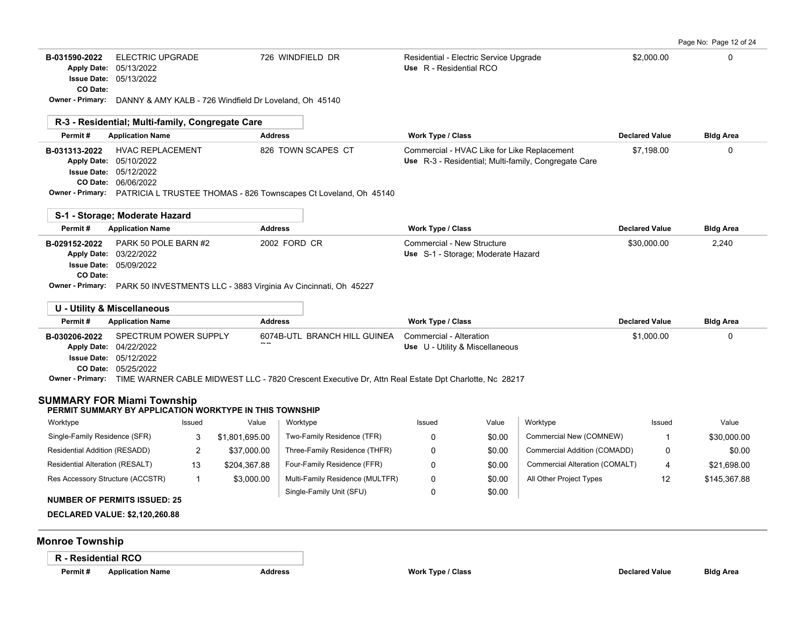| B-031590-2022 | ELECTRIC UPGRADE              | 726 WINDFIELD DR | Residential - Electric Service Upgrade | \$2,000.00 |  |
|---------------|-------------------------------|------------------|----------------------------------------|------------|--|
|               | Apply Date: 05/13/2022        |                  | <b>Use</b> R - Residential RCO         |            |  |
|               | <b>Issue Date: 05/13/2022</b> |                  |                                        |            |  |

**CO Date:**

**Owner - Primary:** DANNY & AMY KALB - 726 Windfield Dr Loveland, Oh 45140

|               | R-3 - Residential; Multi-family, Congregate Care                                  |                    |                                                                                                     |                       |                  |
|---------------|-----------------------------------------------------------------------------------|--------------------|-----------------------------------------------------------------------------------------------------|-----------------------|------------------|
| Permit#       | <b>Application Name</b>                                                           | <b>Address</b>     | <b>Work Type / Class</b>                                                                            | <b>Declared Value</b> | <b>Bldg Area</b> |
| B-031313-2022 | <b>HVAC REPLACEMENT</b><br><b>Apply Date: 05/10/2022</b>                          | 826 TOWN SCAPES CT | Commercial - HVAC Like for Like Replacement<br>Use R-3 - Residential; Multi-family, Congregate Care | \$7.198.00            |                  |
|               | <b>Issue Date: 05/12/2022</b>                                                     |                    |                                                                                                     |                       |                  |
|               | <b>CO Date: 06/06/2022</b>                                                        |                    |                                                                                                     |                       |                  |
|               | Owner - Primary: PATRICIA L TRUSTEE THOMAS - 826 Townscapes Ct Loveland, Oh 45140 |                    |                                                                                                     |                       |                  |

|               | S-1 - Storage: Moderate Hazard                                                  |                |                                                                  |                       |                  |
|---------------|---------------------------------------------------------------------------------|----------------|------------------------------------------------------------------|-----------------------|------------------|
| Permit#       | <b>Application Name</b>                                                         | <b>Address</b> | Work Type / Class                                                | <b>Declared Value</b> | <b>Bldg Area</b> |
| B-029152-2022 | PARK 50 POLE BARN #2<br>Apply Date: 03/22/2022                                  | 2002 FORD CR   | Commercial - New Structure<br>Use S-1 - Storage; Moderate Hazard | \$30,000.00           | 2,240            |
|               | <b>Issue Date: 05/09/2022</b>                                                   |                |                                                                  |                       |                  |
| CO Date:      |                                                                                 |                |                                                                  |                       |                  |
|               | Owner - Primary: PARK 50 INVESTMENTS LLC - 3883 Virginia Ay Cincinnati Oh 45227 |                |                                                                  |                       |                  |

**Owner - Primary:** PARK 50 INVESTMENTS LLC - 3883 Virginia Av Cincinnati, Oh 45227

|                  | U - Utility & Miscellaneous                |                                                                                                      |                                 |                       |                  |
|------------------|--------------------------------------------|------------------------------------------------------------------------------------------------------|---------------------------------|-----------------------|------------------|
| Permit#          | <b>Application Name</b>                    | <b>Address</b>                                                                                       | Work Type / Class               | <b>Declared Value</b> | <b>Bldg Area</b> |
|                  | <b>B-030206-2022</b> SPECTRUM POWER SUPPLY | 6074B-UTL BRANCH HILL GUINEA                                                                         | Commercial - Alteration         | \$1.000.00            |                  |
|                  | Apply Date: 04/22/2022                     | $- -$                                                                                                | Use U - Utility & Miscellaneous |                       |                  |
|                  | <b>Issue Date: 05/12/2022</b>              |                                                                                                      |                                 |                       |                  |
|                  | <b>CO Date: 05/25/2022</b>                 |                                                                                                      |                                 |                       |                  |
| Owner - Primary: |                                            | TIME WARNER CABLE MIDWEST LLC - 7820 Crescent Executive Dr, Attn Real Estate Dpt Charlotte, Nc 28217 |                                 |                       |                  |

### **SUMMARY FOR Miami Township**

#### **PERMIT SUMMARY BY APPLICATION WORKTYPE IN THIS TOWNSHIP**

| Worktype                         | Issued | Value          | Worktype                        | Issued | Value  | Worktype                       | Issued | Value        |
|----------------------------------|--------|----------------|---------------------------------|--------|--------|--------------------------------|--------|--------------|
| Single-Family Residence (SFR)    |        | \$1,801,695.00 | Two-Family Residence (TFR)      |        | \$0.00 | Commercial New (COMNEW)        |        | \$30,000.00  |
| Residential Addition (RESADD)    | -      | \$37,000.00    | Three-Family Residence (THFR)   |        | \$0.00 | Commercial Addition (COMADD)   |        | \$0.00       |
| Residential Alteration (RESALT)  | 13     | \$204.367.88   | Four-Family Residence (FFR)     |        | \$0.00 | Commercial Alteration (COMALT) | 4      | \$21.698.00  |
| Res Accessory Structure (ACCSTR) |        | \$3.000.00     | Multi-Family Residence (MULTFR) |        | \$0.00 | All Other Project Types        | 12     | \$145,367.88 |
| MIIMDED OF DEDMITS ISSUED, 25    |        |                | Single-Family Unit (SFU)        |        | \$0.00 |                                |        |              |

### **NUMBER OF PERMITS ISSUED: 25**

**DECLARED VALUE: \$2,120,260.88**

### **Monroe Township**

**R - Residential RCO**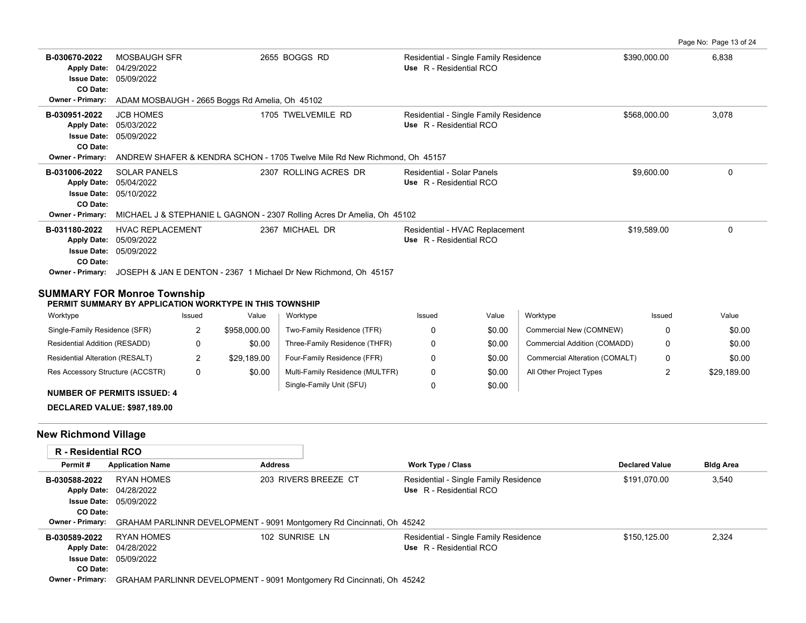| Page No: Page 13 of 24 |  |  |
|------------------------|--|--|
|------------------------|--|--|

| B-030670-2022<br><b>Apply Date:</b><br><b>Issue Date:</b><br>CO Date: | <b>MOSBAUGH SFR</b><br>04/29/2022<br>05/09/2022                           | 2655 BOGGS RD                                                           | Residential - Single Family Residence<br>Use R - Residential RCO | \$390,000.00 | 6,838        |  |  |  |
|-----------------------------------------------------------------------|---------------------------------------------------------------------------|-------------------------------------------------------------------------|------------------------------------------------------------------|--------------|--------------|--|--|--|
| Owner - Primary:                                                      | ADAM MOSBAUGH - 2665 Boggs Rd Amelia, Oh 45102                            |                                                                         |                                                                  |              |              |  |  |  |
| B-030951-2022<br><b>Apply Date:</b><br><b>Issue Date:</b><br>CO Date: | <b>JCB HOMES</b><br>05/03/2022<br>05/09/2022                              | 1705 TWELVEMILE RD                                                      | Residential - Single Family Residence<br>Use R - Residential RCO | \$568,000.00 | 3,078        |  |  |  |
| <b>Owner - Primary:</b>                                               | ANDREW SHAFER & KENDRA SCHON - 1705 Twelve Mile Rd New Richmond, Oh 45157 |                                                                         |                                                                  |              |              |  |  |  |
| B-031006-2022<br><b>Apply Date:</b><br><b>Issue Date:</b><br>CO Date: | <b>SOLAR PANELS</b><br>05/04/2022<br>05/10/2022                           | 2307 ROLLING ACRES DR                                                   | Residential - Solar Panels<br>Use R - Residential RCO            | \$9,600.00   | $\mathbf{0}$ |  |  |  |
| <b>Owner - Primary:</b>                                               |                                                                           | MICHAEL J & STEPHANIE L GAGNON - 2307 Rolling Acres Dr Amelia, Oh 45102 |                                                                  |              |              |  |  |  |
| B-031180-2022<br><b>Apply Date:</b><br><b>Issue Date:</b><br>CO Date: | <b>HVAC REPLACEMENT</b><br>05/09/2022<br>05/09/2022                       | 2367 MICHAEL DR                                                         | Residential - HVAC Replacement<br>Use R - Residential RCO        | \$19,589.00  | $\Omega$     |  |  |  |
| Owner - Primary:                                                      | JOSEPH & JAN E DENTON - 2367 1 Michael Dr New Richmond. Oh 45157          |                                                                         |                                                                  |              |              |  |  |  |

#### **SUMMARY FOR Monroe Township**

**PERMIT SUMMARY BY APPLICATION WORKTYPE IN THIS TOWNSHIP**

| Worktype                         | Issued | Value        | Worktype                        | Issued | Value  | Worktype                       | Issued | Value       |
|----------------------------------|--------|--------------|---------------------------------|--------|--------|--------------------------------|--------|-------------|
| Single-Family Residence (SFR)    | ▃      | \$958,000.00 | Two-Family Residence (TFR)      |        | \$0.00 | Commercial New (COMNEW)        |        | \$0.00      |
| Residential Addition (RESADD)    |        | \$0.00       | Three-Family Residence (THFR)   |        | \$0.00 | Commercial Addition (COMADD)   |        | \$0.00      |
| Residential Alteration (RESALT)  | ∼      | \$29.189.00  | Four-Family Residence (FFR)     |        | \$0.00 | Commercial Alteration (COMALT) |        | \$0.00      |
| Res Accessory Structure (ACCSTR) | 0      | \$0.00       | Multi-Family Residence (MULTFR) |        | \$0.00 | All Other Project Types        |        | \$29,189.00 |
|                                  |        |              | Single-Family Unit (SFU)        |        | \$0.00 |                                |        |             |

### **NUMBER OF PERMITS ISSUED: 4**

**DECLARED VALUE: \$987,189.00**

## **New Richmond Village**

| <b>R</b> - Residential RCO |                                                                                               |                      |                                       |                       |                  |
|----------------------------|-----------------------------------------------------------------------------------------------|----------------------|---------------------------------------|-----------------------|------------------|
| Permit#                    | <b>Application Name</b>                                                                       | <b>Address</b>       | <b>Work Type / Class</b>              | <b>Declared Value</b> | <b>Bldg Area</b> |
| B-030588-2022              | RYAN HOMES                                                                                    | 203 RIVERS BREEZE CT | Residential - Single Family Residence | \$191.070.00          | 3,540            |
|                            | <b>Apply Date: 04/28/2022</b>                                                                 |                      | Use R - Residential RCO               |                       |                  |
|                            | <b>Issue Date: 05/09/2022</b>                                                                 |                      |                                       |                       |                  |
| CO Date:                   |                                                                                               |                      |                                       |                       |                  |
|                            | <b>Owner - Primary:</b> GRAHAM PARLINNR DEVELOPMENT - 9091 Montgomery Rd Cincinnati, Oh 45242 |                      |                                       |                       |                  |
| B-030589-2022              | RYAN HOMES                                                                                    | 102 SUNRISE LN       | Residential - Single Family Residence | \$150.125.00          | 2,324            |
|                            | <b>Apply Date: 04/28/2022</b>                                                                 |                      | Use R - Residential RCO               |                       |                  |
|                            | <b>Issue Date: 05/09/2022</b>                                                                 |                      |                                       |                       |                  |
| CO Date:                   |                                                                                               |                      |                                       |                       |                  |
|                            | Ourner, Primorus, CDALLAM DADLINNID DEVELODMENT, 0001 Montgomeny Dd Cineippeti, Ob. 45242     |                      |                                       |                       |                  |

**Owner - Primary:** GRAHAM PARLINNR DEVELOPMENT - 9091 Montgomery Rd Cincinnati, Oh 45242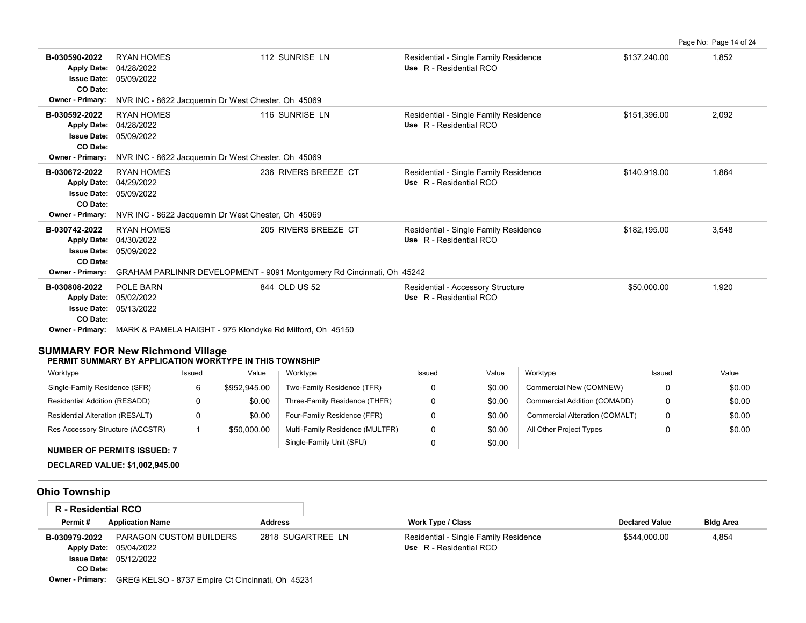|                                                                                                    |                                                                                                |              |                                                    |                                                                                            |                                                                  |        |                                |              |       | Page No: Page 14 of 24 |
|----------------------------------------------------------------------------------------------------|------------------------------------------------------------------------------------------------|--------------|----------------------------------------------------|--------------------------------------------------------------------------------------------|------------------------------------------------------------------|--------|--------------------------------|--------------|-------|------------------------|
| B-030590-2022<br><b>Apply Date:</b><br>CO Date:                                                    | <b>RYAN HOMES</b><br>04/28/2022<br><b>Issue Date: 05/09/2022</b>                               |              |                                                    | 112 SUNRISE LN                                                                             | Residential - Single Family Residence<br>Use R - Residential RCO |        |                                | \$137,240.00 |       | 1,852                  |
| <b>Owner - Primary:</b>                                                                            |                                                                                                |              | NVR INC - 8622 Jacquemin Dr West Chester, Oh 45069 |                                                                                            |                                                                  |        |                                |              |       |                        |
| B-030592-2022<br>CO Date:                                                                          | 116 SUNRISE LN<br><b>RYAN HOMES</b><br>Apply Date: 04/28/2022<br><b>Issue Date: 05/09/2022</b> |              |                                                    | Residential - Single Family Residence<br>Use R - Residential RCO                           |                                                                  |        | \$151,396.00                   |              | 2,092 |                        |
| <b>Owner - Primary:</b>                                                                            |                                                                                                |              | NVR INC - 8622 Jacquemin Dr West Chester, Oh 45069 |                                                                                            |                                                                  |        |                                |              |       |                        |
| B-030672-2022<br><b>Apply Date:</b><br>CO Date:                                                    | <b>RYAN HOMES</b><br>04/29/2022<br><b>Issue Date: 05/09/2022</b>                               |              |                                                    | 236 RIVERS BREEZE CT                                                                       | Residential - Single Family Residence<br>Use R - Residential RCO |        |                                | \$140,919.00 |       | 1,864                  |
| Owner - Primary:                                                                                   |                                                                                                |              | NVR INC - 8622 Jacquemin Dr West Chester, Oh 45069 |                                                                                            |                                                                  |        |                                |              |       |                        |
| B-030742-2022<br>CO Date:                                                                          | <b>RYAN HOMES</b><br>Apply Date: 04/30/2022<br><b>Issue Date: 05/09/2022</b>                   |              |                                                    | 205 RIVERS BREEZE CT                                                                       | Residential - Single Family Residence<br>Use R - Residential RCO |        |                                | \$182,195.00 |       | 3,548                  |
| <b>Owner - Primary:</b>                                                                            |                                                                                                |              |                                                    | GRAHAM PARLINNR DEVELOPMENT - 9091 Montgomery Rd Cincinnati, Oh 45242                      |                                                                  |        |                                |              |       |                        |
| B-030808-2022<br>CO Date:                                                                          | POLE BARN<br>Apply Date: 05/02/2022<br><b>Issue Date: 05/13/2022</b>                           |              |                                                    | 844 OLD US 52<br>Owner - Primary: MARK & PAMELA HAIGHT - 975 Klondyke Rd Milford, Oh 45150 | Residential - Accessory Structure<br>Use R - Residential RCO     |        |                                | \$50,000.00  |       | 1,920                  |
| <b>SUMMARY FOR New Richmond Village</b><br>PERMIT SUMMARY BY APPLICATION WORKTYPE IN THIS TOWNSHIP |                                                                                                |              |                                                    |                                                                                            |                                                                  |        |                                |              |       |                        |
| Worktype                                                                                           |                                                                                                | Issued       | Value                                              | Worktype                                                                                   | Issued                                                           | Value  | Worktype                       | Issued       |       | Value                  |
| Single-Family Residence (SFR)                                                                      |                                                                                                | 6            | \$952,945.00                                       | Two-Family Residence (TFR)                                                                 | 0                                                                | \$0.00 | Commercial New (COMNEW)        |              | 0     | \$0.00                 |
| Residential Addition (RESADD)                                                                      |                                                                                                | 0            | \$0.00                                             | Three-Family Residence (THFR)                                                              | 0                                                                | \$0.00 | Commercial Addition (COMADD)   |              | 0     | \$0.00                 |
| Residential Alteration (RESALT)                                                                    |                                                                                                | 0            | \$0.00                                             | Four-Family Residence (FFR)                                                                | 0                                                                | \$0.00 | Commercial Alteration (COMALT) |              | 0     | \$0.00                 |
| Res Accessory Structure (ACCSTR)                                                                   |                                                                                                | $\mathbf{1}$ | \$50,000.00                                        | Multi-Family Residence (MULTFR)                                                            | 0                                                                | \$0.00 | All Other Project Types        |              | 0     | \$0.00                 |
| <b>NUMBER OF PERMITS ISSUED: 7</b><br><b>DECLARED VALUE: \$1,002,945.00</b>                        |                                                                                                |              |                                                    | Single-Family Unit (SFU)                                                                   | 0                                                                | \$0.00 |                                |              |       |                        |
| <b>Ohio Township</b>                                                                               |                                                                                                |              |                                                    |                                                                                            |                                                                  |        |                                |              |       |                        |
| <b>R</b> - Residential RCO                                                                         |                                                                                                |              |                                                    |                                                                                            |                                                                  |        |                                |              |       |                        |

| Permit#          | <b>Application Name</b>                          | <b>Address</b>    | Work Type / Class                     | <b>Declared Value</b> | <b>Bldg Area</b> |
|------------------|--------------------------------------------------|-------------------|---------------------------------------|-----------------------|------------------|
| B-030979-2022    | PARAGON CUSTOM BUILDERS                          | 2818 SUGARTREE LN | Residential - Single Family Residence | \$544.000.00          | 4.854            |
|                  | <b>Apply Date: 05/04/2022</b>                    |                   | Use R - Residential RCO               |                       |                  |
|                  | <b>Issue Date: 05/12/2022</b>                    |                   |                                       |                       |                  |
| CO Date:         |                                                  |                   |                                       |                       |                  |
| Owner - Primary: | GREG KELSO - 8737 Empire Ct Cincinnati, Oh 45231 |                   |                                       |                       |                  |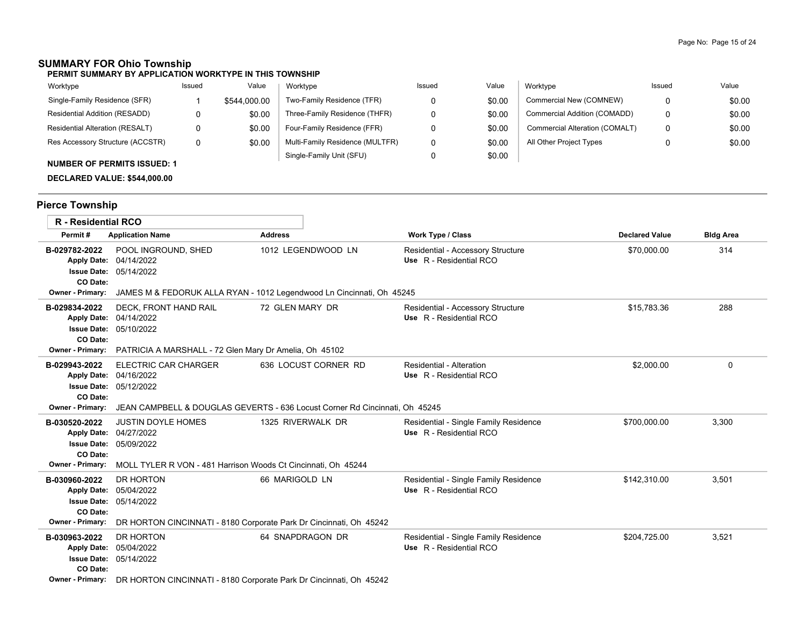# **SUMMARY FOR Ohio Township**

| PERMIT SUMMARY BY APPLICATION WORKTYPE IN THIS TOWNSHIP |  |
|---------------------------------------------------------|--|
|---------------------------------------------------------|--|

| Worktype                               | Issued | Value        | Worktype                        | Issued | Value  | Worktype                       | Issued | Value  |
|----------------------------------------|--------|--------------|---------------------------------|--------|--------|--------------------------------|--------|--------|
| Single-Family Residence (SFR)          |        | \$544,000.00 | Two-Family Residence (TFR)      |        | \$0.00 | Commercial New (COMNEW)        |        | \$0.00 |
| Residential Addition (RESADD)          | 0      | \$0.00       | Three-Family Residence (THFR)   |        | \$0.00 | Commercial Addition (COMADD)   |        | \$0.00 |
| <b>Residential Alteration (RESALT)</b> | 0      | \$0.00       | Four-Family Residence (FFR)     |        | \$0.00 | Commercial Alteration (COMALT) |        | \$0.00 |
| Res Accessory Structure (ACCSTR)       | 0      | \$0.00       | Multi-Family Residence (MULTFR) |        | \$0.00 | All Other Project Types        |        | \$0.00 |
| <b>NUMBER OF PERMITS ISSUED: 1</b>     |        |              | Single-Family Unit (SFU)        |        | \$0.00 |                                |        |        |

**DECLARED VALUE: \$544,000.00**

# **Pierce Township**

| <b>R</b> - Residential RCO                                                                       |                                                                                                                                            |                                                                                                     |                                                                  |                       |                  |
|--------------------------------------------------------------------------------------------------|--------------------------------------------------------------------------------------------------------------------------------------------|-----------------------------------------------------------------------------------------------------|------------------------------------------------------------------|-----------------------|------------------|
| Permit#                                                                                          | <b>Application Name</b>                                                                                                                    | <b>Address</b>                                                                                      | Work Type / Class                                                | <b>Declared Value</b> | <b>Bldg Area</b> |
| B-029782-2022<br>CO Date:<br>Owner - Primary:                                                    | POOL INGROUND, SHED<br>Apply Date: 04/14/2022<br><b>Issue Date: 05/14/2022</b>                                                             | 1012 LEGENDWOOD LN<br>JAMES M & FEDORUK ALLA RYAN - 1012 Legendwood Ln Cincinnati, Oh 45245         | Residential - Accessory Structure<br>Use R - Residential RCO     | \$70,000.00           | 314              |
| B-029834-2022<br>CO Date:<br>Owner - Primary:                                                    | DECK, FRONT HAND RAIL<br>Apply Date: 04/14/2022<br><b>Issue Date: 05/10/2022</b><br>PATRICIA A MARSHALL - 72 Glen Mary Dr Amelia, Oh 45102 | 72 GLEN MARY DR                                                                                     | Residential - Accessory Structure<br>Use R - Residential RCO     | \$15.783.36           | 288              |
| B-029943-2022<br><b>Issue Date:</b><br>CO Date:<br>Owner - Primary:                              | <b>ELECTRIC CAR CHARGER</b><br>Apply Date: 04/16/2022<br>05/12/2022                                                                        | 636 LOCUST CORNER RD<br>JEAN CAMPBELL & DOUGLAS GEVERTS - 636 Locust Corner Rd Cincinnati, Oh 45245 | Residential - Alteration<br>Use R - Residential RCO              | \$2,000.00            | 0                |
| B-030520-2022<br><b>Apply Date:</b><br><b>Issue Date:</b><br>CO Date:<br><b>Owner - Primary:</b> | <b>JUSTIN DOYLE HOMES</b><br>04/27/2022<br>05/09/2022<br>MOLL TYLER R VON - 481 Harrison Woods Ct Cincinnati, Oh 45244                     | 1325 RIVERWALK DR                                                                                   | Residential - Single Family Residence<br>Use R - Residential RCO | \$700,000.00          | 3,300            |
| B-030960-2022<br><b>Apply Date:</b><br><b>Issue Date:</b><br>CO Date:<br><b>Owner - Primary:</b> | DR HORTON<br>05/04/2022<br>05/14/2022<br>DR HORTON CINCINNATI - 8180 Corporate Park Dr Cincinnati, Oh 45242                                | 66 MARIGOLD LN                                                                                      | Residential - Single Family Residence<br>Use R - Residential RCO | \$142,310.00          | 3.501            |
| B-030963-2022<br><b>Apply Date:</b><br><b>Issue Date:</b><br>CO Date:<br>Owner - Primary:        | DR HORTON<br>05/04/2022<br>05/14/2022<br>DR HORTON CINCINNATI - 8180 Corporate Park Dr Cincinnati, Oh 45242                                | 64 SNAPDRAGON DR                                                                                    | Residential - Single Family Residence<br>Use R - Residential RCO | \$204.725.00          | 3,521            |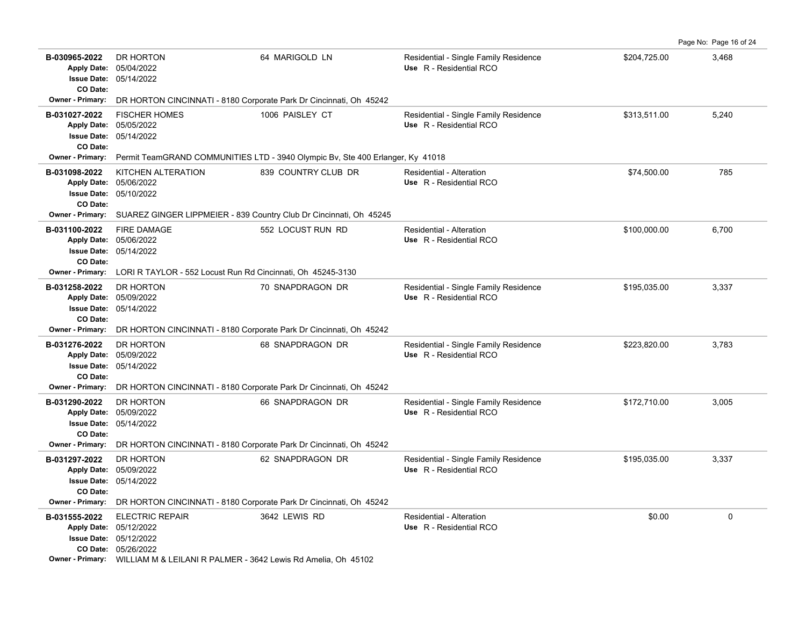| B-030965-2022<br>CO Date: | DR HORTON<br>Apply Date: 05/04/2022<br><b>Issue Date: 05/14/2022</b>                                                                                                                | 64 MARIGOLD LN                                                                 | Residential - Single Family Residence<br>Use R - Residential RCO | \$204,725.00 | 3,468       |  |  |  |
|---------------------------|-------------------------------------------------------------------------------------------------------------------------------------------------------------------------------------|--------------------------------------------------------------------------------|------------------------------------------------------------------|--------------|-------------|--|--|--|
| B-031027-2022<br>CO Date: | Owner - Primary: DR HORTON CINCINNATI - 8180 Corporate Park Dr Cincinnati, Oh 45242<br><b>FISCHER HOMES</b><br>Apply Date: 05/05/2022<br>Issue Date: 05/14/2022                     | 1006 PAISLEY CT                                                                | Residential - Single Family Residence<br>Use R - Residential RCO | \$313,511.00 | 5,240       |  |  |  |
| Owner - Primary:          |                                                                                                                                                                                     | Permit TeamGRAND COMMUNITIES LTD - 3940 Olympic By, Ste 400 Erlanger, Ky 41018 |                                                                  |              |             |  |  |  |
| B-031098-2022<br>CO Date: | KITCHEN ALTERATION<br>Apply Date: 05/06/2022<br><b>Issue Date: 05/10/2022</b>                                                                                                       | 839 COUNTRY CLUB DR                                                            | <b>Residential - Alteration</b><br>Use R - Residential RCO       | \$74,500.00  | 785         |  |  |  |
| Owner - Primary:          | SUAREZ GINGER LIPPMEIER - 839 Country Club Dr Cincinnati, Oh 45245                                                                                                                  |                                                                                |                                                                  |              |             |  |  |  |
| B-031100-2022<br>CO Date: | <b>FIRE DAMAGE</b><br>Apply Date: 05/06/2022<br><b>Issue Date: 05/14/2022</b>                                                                                                       | 552 LOCUST RUN RD                                                              | <b>Residential - Alteration</b><br>Use R - Residential RCO       | \$100,000.00 | 6,700       |  |  |  |
| <b>Owner - Primary:</b>   | LORI R TAYLOR - 552 Locust Run Rd Cincinnati, Oh 45245-3130                                                                                                                         |                                                                                |                                                                  |              |             |  |  |  |
| B-031258-2022<br>CO Date: | DR HORTON<br>Apply Date: 05/09/2022<br>Issue Date: 05/14/2022                                                                                                                       | 70 SNAPDRAGON DR                                                               | Residential - Single Family Residence<br>Use R - Residential RCO | \$195,035.00 | 3,337       |  |  |  |
| Owner - Primary:          | DR HORTON CINCINNATI - 8180 Corporate Park Dr Cincinnati, Oh 45242                                                                                                                  |                                                                                |                                                                  |              |             |  |  |  |
| B-031276-2022<br>CO Date: | DR HORTON<br>Apply Date: 05/09/2022<br><b>Issue Date: 05/14/2022</b>                                                                                                                | 68 SNAPDRAGON DR                                                               | Residential - Single Family Residence<br>Use R - Residential RCO | \$223,820.00 | 3,783       |  |  |  |
|                           | Owner - Primary: DR HORTON CINCINNATI - 8180 Corporate Park Dr Cincinnati, Oh 45242                                                                                                 |                                                                                |                                                                  |              |             |  |  |  |
| B-031290-2022<br>CO Date: | DR HORTON<br>Apply Date: 05/09/2022<br>Issue Date: 05/14/2022                                                                                                                       | 66 SNAPDRAGON DR                                                               | Residential - Single Family Residence<br>Use R - Residential RCO | \$172,710.00 | 3,005       |  |  |  |
| <b>Owner - Primary:</b>   | DR HORTON CINCINNATI - 8180 Corporate Park Dr Cincinnati, Oh 45242                                                                                                                  |                                                                                |                                                                  |              |             |  |  |  |
| B-031297-2022<br>CO Date: | DR HORTON<br>Apply Date: 05/09/2022<br>Issue Date: 05/14/2022                                                                                                                       | 62 SNAPDRAGON DR                                                               | Residential - Single Family Residence<br>Use R - Residential RCO | \$195,035.00 | 3,337       |  |  |  |
|                           | Owner - Primary: DR HORTON CINCINNATI - 8180 Corporate Park Dr Cincinnati, Oh 45242                                                                                                 |                                                                                |                                                                  |              |             |  |  |  |
| B-031555-2022             | <b>ELECTRIC REPAIR</b><br>Apply Date: 05/12/2022<br>Issue Date: 05/12/2022<br>CO Date: 05/26/2022<br>Owner - Primary: WILLIAM M & LEILANI R PALMER - 3642 Lewis Rd Amelia, Oh 45102 | 3642 LEWIS RD                                                                  | <b>Residential - Alteration</b><br>Use R - Residential RCO       | \$0.00       | $\mathbf 0$ |  |  |  |

Page No: Page 16 of 24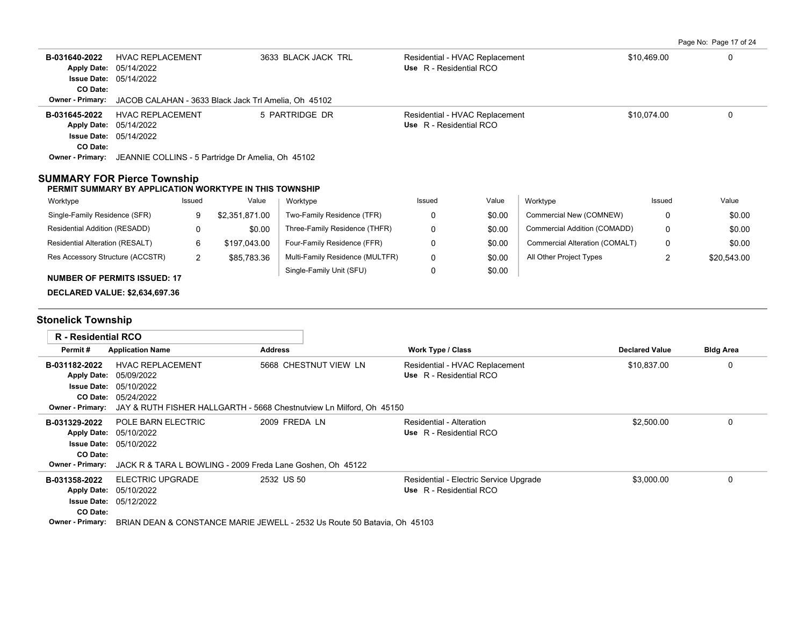Page No: Page 17 of 24

| B-031640-2022<br>Apply Date: 05/14/2022<br>CO Date:            | <b>HVAC REPLACEMENT</b><br><b>Issue Date: 05/14/2022</b>                                      |                |                | 3633 BLACK JACK TRL                                                                           | Use R - Residential RCO                                    | Residential - HVAC Replacement         |                                | \$10,469.00           | $\Omega$         |
|----------------------------------------------------------------|-----------------------------------------------------------------------------------------------|----------------|----------------|-----------------------------------------------------------------------------------------------|------------------------------------------------------------|----------------------------------------|--------------------------------|-----------------------|------------------|
| Owner - Primary:                                               | JACOB CALAHAN - 3633 Black Jack Trl Amelia, Oh 45102                                          |                |                |                                                                                               |                                                            |                                        |                                |                       |                  |
| B-031645-2022<br>Apply Date: 05/14/2022<br>CO Date:            | <b>HVAC REPLACEMENT</b><br><b>Issue Date: 05/14/2022</b>                                      |                |                | 5 PARTRIDGE DR                                                                                | Use R - Residential RCO                                    | Residential - HVAC Replacement         |                                | \$10,074.00           | 0                |
| Owner - Primary:                                               | JEANNIE COLLINS - 5 Partridge Dr Amelia, Oh 45102                                             |                |                |                                                                                               |                                                            |                                        |                                |                       |                  |
| <b>SUMMARY FOR Pierce Township</b>                             | PERMIT SUMMARY BY APPLICATION WORKTYPE IN THIS TOWNSHIP                                       |                |                |                                                                                               |                                                            |                                        |                                |                       |                  |
| Worktype                                                       |                                                                                               | Issued         | Value          | Worktype                                                                                      | Issued                                                     | Value                                  | Worktype                       | Issued                | Value            |
| Single-Family Residence (SFR)                                  |                                                                                               | 9              | \$2,351,871.00 | Two-Family Residence (TFR)                                                                    | 0                                                          | \$0.00                                 | Commercial New (COMNEW)        | 0                     | \$0.00           |
| Residential Addition (RESADD)                                  |                                                                                               | 0              | \$0.00         | Three-Family Residence (THFR)                                                                 | 0                                                          | \$0.00                                 | Commercial Addition (COMADD)   | 0                     | \$0.00           |
| Residential Alteration (RESALT)                                |                                                                                               | 6              | \$197,043.00   | Four-Family Residence (FFR)                                                                   | 0                                                          | \$0.00                                 | Commercial Alteration (COMALT) | 0                     | \$0.00           |
| Res Accessory Structure (ACCSTR)                               |                                                                                               | $\overline{2}$ | \$85,783.36    | Multi-Family Residence (MULTFR)                                                               | 0                                                          | \$0.00                                 | All Other Project Types        | 2                     | \$20,543.00      |
|                                                                | <b>NUMBER OF PERMITS ISSUED: 17</b>                                                           |                |                | Single-Family Unit (SFU)                                                                      | 0                                                          | \$0.00                                 |                                |                       |                  |
|                                                                | <b>DECLARED VALUE: \$2,634,697.36</b>                                                         |                |                |                                                                                               |                                                            |                                        |                                |                       |                  |
| <b>Stonelick Township</b>                                      |                                                                                               |                |                |                                                                                               |                                                            |                                        |                                |                       |                  |
| <b>R</b> - Residential RCO                                     |                                                                                               |                |                |                                                                                               |                                                            |                                        |                                |                       |                  |
| Permit#                                                        | <b>Application Name</b>                                                                       |                | <b>Address</b> |                                                                                               | Work Type / Class                                          |                                        |                                | <b>Declared Value</b> | <b>Bldg Area</b> |
| B-031182-2022<br><b>Apply Date:</b><br><b>Owner - Primary:</b> | <b>HVAC REPLACEMENT</b><br>05/09/2022<br><b>Issue Date: 05/10/2022</b><br>CO Date: 05/24/2022 |                |                | 5668 CHESTNUT VIEW LN<br>JAY & RUTH FISHER HALLGARTH - 5668 Chestnutview Ln Milford, Oh 45150 | Use R - Residential RCO                                    | Residential - HVAC Replacement         |                                | \$10,837.00           | 0                |
| B-031329-2022<br>Apply Date: 05/10/2022<br>CO Date:            | POLE BARN ELECTRIC<br><b>Issue Date: 05/10/2022</b>                                           |                |                | 2009 FREDA LN                                                                                 | <b>Residential - Alteration</b><br>Use R - Residential RCO |                                        |                                | \$2,500.00            | $\Omega$         |
| <b>Owner - Primary:</b>                                        |                                                                                               |                |                | JACK R & TARA L BOWLING - 2009 Freda Lane Goshen, Oh 45122                                    |                                                            |                                        |                                |                       |                  |
| B-031358-2022<br>CO Date:                                      | <b>ELECTRIC UPGRADE</b><br>Apply Date: 05/10/2022<br><b>Issue Date: 05/12/2022</b>            |                |                | 2532 US 50                                                                                    | Use R - Residential RCO                                    | Residential - Electric Service Upgrade |                                | \$3,000.00            | 0                |
| <b>Owner - Primary:</b>                                        |                                                                                               |                |                | BRIAN DEAN & CONSTANCE MARIE JEWELL - 2532 Us Route 50 Batavia. Oh 45103                      |                                                            |                                        |                                |                       |                  |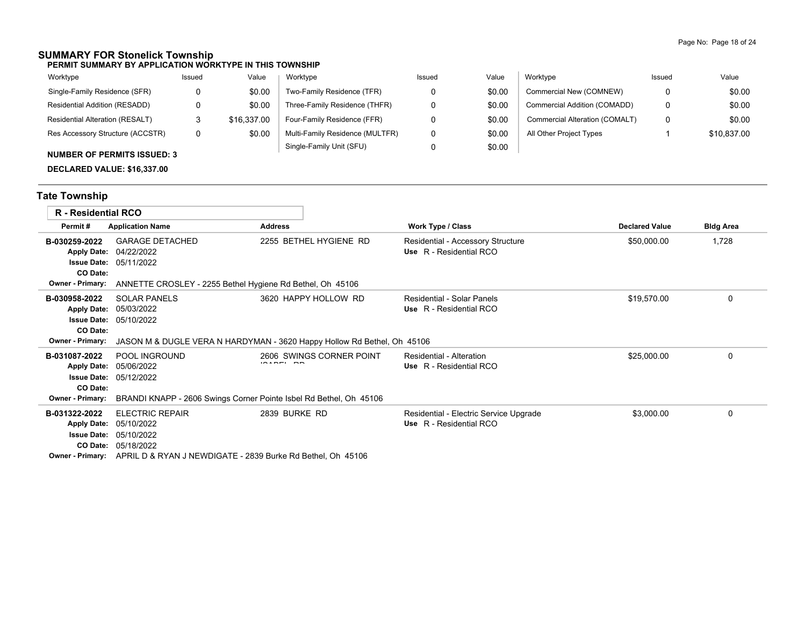### **SUMMARY FOR Stonelick Township**

**PERMIT SUMMARY BY APPLICATION WORKTYPE IN THIS TOWNSHIP**

| Worktype                                                                                                                                                                                                                                                                                                                                                                                                               | Issued | Value       | Worktype                        | Issued | Value  | Worktype                       | Issued | Value       |
|------------------------------------------------------------------------------------------------------------------------------------------------------------------------------------------------------------------------------------------------------------------------------------------------------------------------------------------------------------------------------------------------------------------------|--------|-------------|---------------------------------|--------|--------|--------------------------------|--------|-------------|
| Single-Family Residence (SFR)                                                                                                                                                                                                                                                                                                                                                                                          | 0      | \$0.00      | Two-Family Residence (TFR)      |        | \$0.00 | Commercial New (COMNEW)        |        | \$0.00      |
| Residential Addition (RESADD)                                                                                                                                                                                                                                                                                                                                                                                          |        | \$0.00      | Three-Family Residence (THFR)   |        | \$0.00 | Commercial Addition (COMADD)   |        | \$0.00      |
| Residential Alteration (RESALT)                                                                                                                                                                                                                                                                                                                                                                                        | ت      | \$16,337.00 | Four-Family Residence (FFR)     |        | \$0.00 | Commercial Alteration (COMALT) |        | \$0.00      |
| Res Accessory Structure (ACCSTR)                                                                                                                                                                                                                                                                                                                                                                                       | 0      | \$0.00      | Multi-Family Residence (MULTFR) |        | \$0.00 | All Other Project Types        |        | \$10,837.00 |
| $\mathbf{A} \mathbf{B} \mathbf{A} \mathbf{B} \mathbf{A} \mathbf{B} \mathbf{A} \mathbf{B} \mathbf{A} \mathbf{A} \mathbf{A} \mathbf{A} \mathbf{A} \mathbf{A} \mathbf{A} \mathbf{A} \mathbf{A} \mathbf{A} \mathbf{A} \mathbf{A} \mathbf{A} \mathbf{A} \mathbf{A} \mathbf{A} \mathbf{A} \mathbf{A} \mathbf{A} \mathbf{A} \mathbf{A} \mathbf{A} \mathbf{A} \mathbf{A} \mathbf{A} \mathbf{A} \mathbf{A} \mathbf{A} \mathbf{$ |        |             | Single-Family Unit (SFU)        |        | \$0.00 |                                |        |             |

### **NUMBER OF PERMITS ISSUED: 3**

**DECLARED VALUE: \$16,337.00**

# **Tate Township**

| <b>R</b> - Residential RCO                                                                       |                                                                                                                                 |                                                                                                 |                                                                   |                       |                  |
|--------------------------------------------------------------------------------------------------|---------------------------------------------------------------------------------------------------------------------------------|-------------------------------------------------------------------------------------------------|-------------------------------------------------------------------|-----------------------|------------------|
| Permit#                                                                                          | <b>Application Name</b>                                                                                                         | <b>Address</b>                                                                                  | Work Type / Class                                                 | <b>Declared Value</b> | <b>Bldg Area</b> |
| B-030259-2022<br><b>Apply Date:</b><br><b>Issue Date:</b><br>CO Date:<br>Owner - Primary:        | <b>GARAGE DETACHED</b><br>04/22/2022<br>05/11/2022<br>ANNETTE CROSLEY - 2255 Bethel Hygiene Rd Bethel, Oh 45106                 | 2255 BETHEL HYGIENE RD                                                                          | Residential - Accessory Structure<br>Use R - Residential RCO      | \$50,000.00           | 1,728            |
| B-030958-2022<br><b>Apply Date:</b><br><b>Issue Date:</b><br>CO Date:<br>Owner - Primary:        | <b>SOLAR PANELS</b><br>05/03/2022<br>05/10/2022                                                                                 | 3620 HAPPY HOLLOW RD<br>JASON M & DUGLE VERA N HARDYMAN - 3620 Happy Hollow Rd Bethel, Oh 45106 | Residential - Solar Panels<br>Use R - Residential RCO             | \$19,570.00           | $\Omega$         |
| B-031087-2022<br><b>Apply Date:</b><br><b>Issue Date:</b><br>CO Date:<br>Owner - Primary:        | POOL INGROUND<br>05/06/2022<br>05/12/2022<br>BRANDI KNAPP - 2606 Swings Corner Pointe Isbel Rd Bethel, Oh 45106                 | 2606 SWINGS CORNER POINT                                                                        | Residential - Alteration<br>Use R - Residential RCO               | \$25,000.00           | $\Omega$         |
| B-031322-2022<br><b>Apply Date:</b><br><b>Issue Date:</b><br>CO Date:<br><b>Owner - Primary:</b> | <b>ELECTRIC REPAIR</b><br>05/10/2022<br>05/10/2022<br>05/18/2022<br>APRIL D & RYAN J NEWDIGATE - 2839 Burke Rd Bethel, Oh 45106 | 2839 BURKE RD                                                                                   | Residential - Electric Service Upgrade<br>Use R - Residential RCO | \$3,000.00            | $\Omega$         |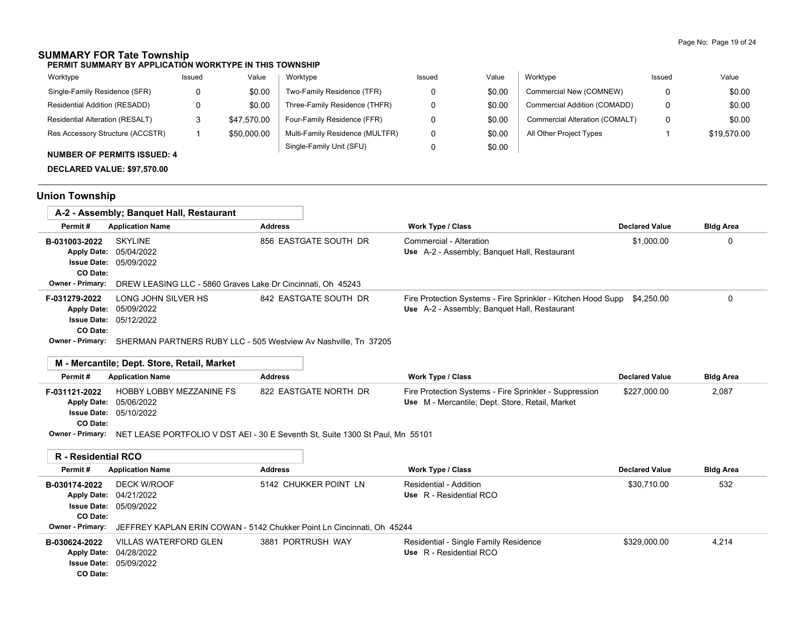# **SUMMARY FOR Tate Township**

**PERMIT SUMMARY BY APPLICATION WORKTYPE IN THIS TOWNSHIP**

| Worktype                               | Issued | Value       | Worktype                        | Issued | Value  | Worktype                       | Issued | Value       |
|----------------------------------------|--------|-------------|---------------------------------|--------|--------|--------------------------------|--------|-------------|
| Single-Family Residence (SFR)          |        | \$0.00      | Two-Family Residence (TFR)      |        | \$0.00 | Commercial New (COMNEW)        |        | \$0.00      |
| Residential Addition (RESADD)          |        | \$0.00      | Three-Family Residence (THFR)   |        | \$0.00 | Commercial Addition (COMADD)   |        | \$0.00      |
| <b>Residential Alteration (RESALT)</b> |        | \$47.570.00 | Four-Family Residence (FFR)     |        | \$0.00 | Commercial Alteration (COMALT) |        | \$0.00      |
| Res Accessory Structure (ACCSTR)       |        | \$50,000.00 | Multi-Family Residence (MULTFR) |        | \$0.00 | All Other Project Types        |        | \$19.570.00 |
| $\ddot{ }$                             |        |             | Single-Family Unit (SFU)        |        | \$0.00 |                                |        |             |

### **NUMBER OF PERMITS ISSUED: 4**

**DECLARED VALUE: \$97,570.00**

# **Union Township**

÷

|                         | A-2 - Assembly; Banguet Hall, Restaurant                                              |                       |                                                                                                                         |                       |                  |
|-------------------------|---------------------------------------------------------------------------------------|-----------------------|-------------------------------------------------------------------------------------------------------------------------|-----------------------|------------------|
| Permit#                 | <b>Application Name</b>                                                               | <b>Address</b>        | <b>Work Type / Class</b>                                                                                                | <b>Declared Value</b> | <b>Bldg Area</b> |
| B-031003-2022           | <b>SKYLINE</b><br><b>Apply Date: 05/04/2022</b><br><b>Issue Date: 05/09/2022</b>      | 856 EASTGATE SOUTH DR | Commercial - Alteration<br>Use A-2 - Assembly; Banquet Hall, Restaurant                                                 | \$1,000.00            | 0                |
| CO Date:                |                                                                                       |                       |                                                                                                                         |                       |                  |
| <b>Owner - Primary:</b> | DREW LEASING LLC - 5860 Graves Lake Dr Cincinnati. Oh 45243                           |                       |                                                                                                                         |                       |                  |
| F-031279-2022           | LONG JOHN SILVER HS<br><b>Apply Date: 05/09/2022</b><br><b>Issue Date: 05/12/2022</b> | 842 EASTGATE SOUTH DR | Fire Protection Systems - Fire Sprinkler - Kitchen Hood Supp \$4,250.00<br>Use A-2 - Assembly; Banquet Hall, Restaurant |                       | 0                |
| CO Date:                | Owner - Primary: CHEDMANI DADTNIEDS DURV LLC 505 Wostview Ay Nochville Tn 37205       |                       |                                                                                                                         |                       |                  |

**Owner - Primary:** SHERMAN PARTNERS RUBY LLC - 505 Westview Av Nashville, Tn 37205

### **M - Mercantile; Dept. Store, Retail, Market**

| Permit#       | <b>Application Name</b>       | Address               | Work Type / Class                                      | <b>Declared Value</b> | <b>Bldg Area</b> |
|---------------|-------------------------------|-----------------------|--------------------------------------------------------|-----------------------|------------------|
| F-031121-2022 | HOBBY LOBBY MEZZANINE FS      | 822 EASTGATE NORTH DR | Fire Protection Systems - Fire Sprinkler - Suppression | \$227,000.00          | 2,087            |
|               | <b>Apply Date: 05/06/2022</b> |                       | Use M - Mercantile; Dept. Store, Retail, Market        |                       |                  |
|               | <b>Issue Date: 05/10/2022</b> |                       |                                                        |                       |                  |
| CO Date:      |                               |                       |                                                        |                       |                  |

**Owner - Primary:** NET LEASE PORTFOLIO V DST AEI - 30 E Seventh St, Suite 1300 St Paul, Mn 55101

| R - Residential RCO                           |                                                                                                                                                         |                       |                                                                  |                       |                  |
|-----------------------------------------------|---------------------------------------------------------------------------------------------------------------------------------------------------------|-----------------------|------------------------------------------------------------------|-----------------------|------------------|
| Permit#                                       | <b>Application Name</b>                                                                                                                                 | <b>Address</b>        | Work Type / Class                                                | <b>Declared Value</b> | <b>Bldg Area</b> |
| B-030174-2022<br>CO Date:<br>Owner - Primary: | DECK W/ROOF<br><b>Apply Date: 04/21/2022</b><br><b>Issue Date: 05/09/2022</b><br>JEFFREY KAPLAN ERIN COWAN - 5142 Chukker Point Ln Cincinnati, Oh 45244 | 5142 CHUKKER POINT LN | Residential - Addition<br>Use R - Residential RCO                | \$30.710.00           | 532              |
| B-030624-2022<br>CO Date:                     | VILLAS WATERFORD GLEN<br>Apply Date: 04/28/2022<br><b>Issue Date: 05/09/2022</b>                                                                        | 3881 PORTRUSH WAY     | Residential - Single Family Residence<br>Use R - Residential RCO | \$329.000.00          | 4.214            |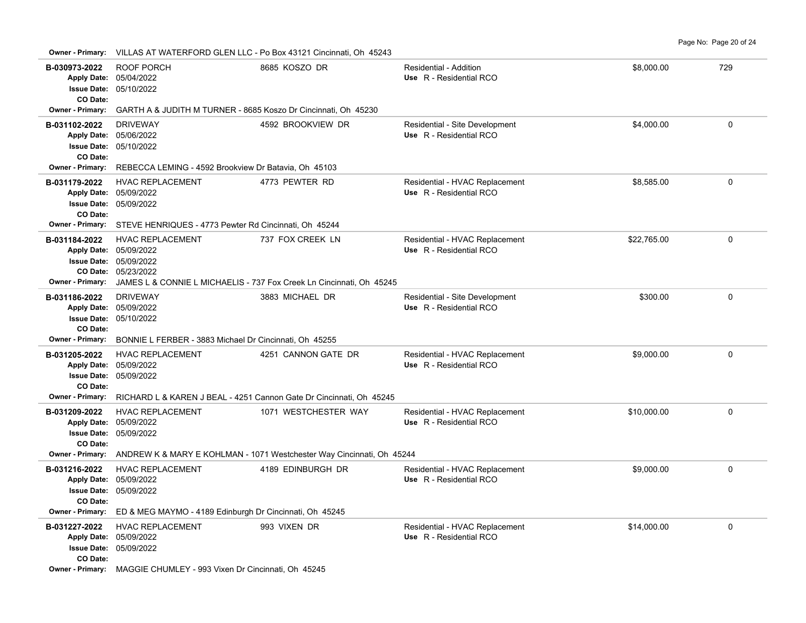**Owner - Primary:** VILLAS AT WATERFORD GLEN LLC - Po Box 43121 Cincinnati, Oh 45243

| B-030973-2022<br>CO Date:         | ROOF PORCH<br>Apply Date: 05/04/2022<br>Issue Date: 05/10/2022                                            | 8685 KOSZO DR                                                                            | Residential - Addition<br>Use R - Residential RCO         | \$8,000.00  | 729         |
|-----------------------------------|-----------------------------------------------------------------------------------------------------------|------------------------------------------------------------------------------------------|-----------------------------------------------------------|-------------|-------------|
| Owner - Primary:                  | GARTH A & JUDITH M TURNER - 8685 Koszo Dr Cincinnati, Oh 45230                                            |                                                                                          |                                                           |             |             |
| B-031102-2022<br>CO Date:         | <b>DRIVEWAY</b><br>Apply Date: 05/06/2022<br><b>Issue Date: 05/10/2022</b>                                | 4592 BROOKVIEW DR                                                                        | Residential - Site Development<br>Use R - Residential RCO | \$4,000.00  | 0           |
| Owner - Primary:                  | REBECCA LEMING - 4592 Brookview Dr Batavia, Oh 45103                                                      |                                                                                          |                                                           |             |             |
| B-031179-2022<br>CO Date:         | <b>HVAC REPLACEMENT</b><br>Apply Date: 05/09/2022<br>Issue Date: 05/09/2022                               | 4773 PEWTER RD                                                                           | Residential - HVAC Replacement<br>Use R - Residential RCO | \$8,585.00  | 0           |
| Owner - Primary:                  | STEVE HENRIQUES - 4773 Pewter Rd Cincinnati, Oh 45244                                                     |                                                                                          |                                                           |             |             |
| B-031184-2022<br>Owner - Primary: | <b>HVAC REPLACEMENT</b><br>Apply Date: 05/09/2022<br><b>Issue Date: 05/09/2022</b><br>CO Date: 05/23/2022 | 737 FOX CREEK LN<br>JAMES L & CONNIE L MICHAELIS - 737 Fox Creek Ln Cincinnati, Oh 45245 | Residential - HVAC Replacement<br>Use R - Residential RCO | \$22,765.00 | $\Omega$    |
| B-031186-2022                     | <b>DRIVEWAY</b>                                                                                           | 3883 MICHAEL DR                                                                          | Residential - Site Development                            | \$300.00    | $\Omega$    |
| CO Date:                          | Apply Date: 05/09/2022<br>Issue Date: 05/10/2022                                                          |                                                                                          | Use R - Residential RCO                                   |             |             |
| <b>Owner - Primary:</b>           | BONNIE L FERBER - 3883 Michael Dr Cincinnati, Oh 45255                                                    |                                                                                          |                                                           |             |             |
| B-031205-2022<br>CO Date:         | <b>HVAC REPLACEMENT</b><br>Apply Date: 05/09/2022<br><b>Issue Date: 05/09/2022</b>                        | 4251 CANNON GATE DR                                                                      | Residential - HVAC Replacement<br>Use R - Residential RCO | \$9,000.00  | 0           |
| <b>Owner - Primary:</b>           |                                                                                                           | RICHARD L & KAREN J BEAL - 4251 Cannon Gate Dr Cincinnati, Oh 45245                      |                                                           |             |             |
| B-031209-2022<br>CO Date:         | <b>HVAC REPLACEMENT</b><br>Apply Date: 05/09/2022<br><b>Issue Date: 05/09/2022</b>                        | 1071 WESTCHESTER WAY                                                                     | Residential - HVAC Replacement<br>Use R - Residential RCO | \$10,000.00 | $\mathbf 0$ |
| <b>Owner - Primary:</b>           |                                                                                                           | ANDREW K & MARY E KOHLMAN - 1071 Westchester Way Cincinnati, Oh 45244                    |                                                           |             |             |
| B-031216-2022<br>CO Date:         | <b>HVAC REPLACEMENT</b><br>Apply Date: 05/09/2022<br><b>Issue Date: 05/09/2022</b>                        | 4189 EDINBURGH DR                                                                        | Residential - HVAC Replacement<br>Use R - Residential RCO | \$9,000.00  | $\mathbf 0$ |
| <b>Owner - Primary:</b>           | ED & MEG MAYMO - 4189 Edinburgh Dr Cincinnati, Oh 45245                                                   |                                                                                          |                                                           |             |             |
| B-031227-2022<br>CO Date:         | <b>HVAC REPLACEMENT</b><br>Apply Date: 05/09/2022<br>Issue Date: 05/09/2022                               | 993 VIXEN DR                                                                             | Residential - HVAC Replacement<br>Use R - Residential RCO | \$14,000.00 | $\Omega$    |
| <b>Owner - Primary:</b>           | MAGGIE CHUMLEY - 993 Vixen Dr Cincinnati, Oh 45245                                                        |                                                                                          |                                                           |             |             |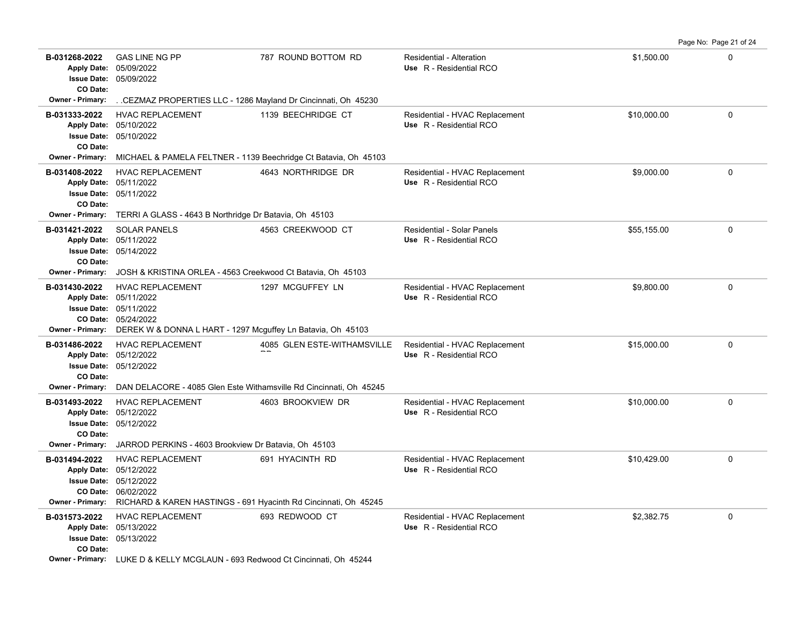**B-031268-2022** GAS LINE NG PP **1988 1287 ROUND BOTTOM RD** Residential - Alteration **1998 1288-2022** GAS LINE NG PP 05/09/2022 Apply Date: 05/09/2022 **Apply Date: Use** R - Residential RCO **Issue Date: CO Date: Owner - Primary:** . .CEZMAZ PROPERTIES LLC - 1286 Mayland Dr Cincinnati, Oh 45230 **B-031333-2022** HVAC REPLACEMENT 1139 BEECHRIDGE CT Residential - HVAC Replacement \$10,000.00 \$10,000.00 0 05/10/2022 **Issue Date:** 05/10/2022 **Apply Date: Use** R - Residential RCO **CO Date: Owner - Primary:** MICHAEL & PAMELA FELTNER - 1139 Beechridge Ct Batavia, Oh 45103 **B-031408-2022** HVAC REPLACEMENT 4643 NORTHRIDGE DR Residential - HVAC Replacement \$9,000.00 \$9,000.00 0 05/11/2022 **Issue Date:** 05/11/2022 **Apply Date: Use** R - Residential RCO **CO Date: Owner - Primary:** TERRI A GLASS - 4643 B Northridge Dr Batavia, Oh 45103 **B-031421-2022** \$55,155.00 0 SOLAR PANELS 4563 CREEKWOOD CT Residential - Solar Panels 05/14/2022 **Issue Date:** Apply Date: 05/11/2022 **Apply Date: Use** R - Residential RCO **CO Date: Owner - Primary:** JOSH & KRISTINA ORLEA - 4563 Creekwood Ct Batavia, Oh 45103 **B-031430-2022** HVAC REPLACEMENT 1297 MCGUFFEY LN Residential - HVAC Replacement \$9,800.00 \$9,800.00 0 05/24/2022 **CO Date:** 05/11/2022 **Issue Date:** Apply Date: 05/11/2022 **Apply Date: Use** R - Residential RCO **Owner - Primary:** DEREK W & DONNA L HART - 1297 Mcguffey Ln Batavia, Oh 45103 B-031486-2022 HVAC REPLACEMENT 4085 GLEN ESTE-WITHAMSVILLE Residential - HVAC Replacement \$15,000.00 \$15,000.00 05/12/2022 **Issue Date:** Apply Date: 05/12/2022  $\overline{\phantom{a}}$ HVAC REPLACEMENT **Apply Date: Use** R - Residential RCO **CO Date: Owner - Primary:** DAN DELACORE - 4085 Glen Este Withamsville Rd Cincinnati, Oh 45245 **B-031493-2022** HVAC REPLACEMENT 4603 BROOKVIEW DR Residential - HVAC Replacement \$10,000.00 \$10,000.00 0 05/12/2022 **Issue Date:** Apply Date: 05/12/2022 **Apply Date: Use** R - Residential RCO **CO Date: Owner - Primary:** JARROD PERKINS - 4603 Brookview Dr Batavia, Oh 45103 **B-031494-2022** \$10,429.00 0 HVAC REPLACEMENT 691 HYACINTH RD Residential - HVAC Replacement 06/02/2022 **CO Date:** 05/12/2022 **Issue Date:** 05/12/2022 **Apply Date: Use** R - Residential RCO **Owner - Primary:** RICHARD & KAREN HASTINGS - 691 Hyacinth Rd Cincinnati, Oh 45245 **B-031573-2022** \$2,382.75 0 HVAC REPLACEMENT 693 REDWOOD CT Residential - HVAC Replacement 05/13/2022 **Issue Date:** 05/13/2022 **Apply Date: Use** R - Residential RCO **CO Date:**

Page No: Page 21 of 24

**Owner - Primary:** LUKE D & KELLY MCGLAUN - 693 Redwood Ct Cincinnati, Oh 45244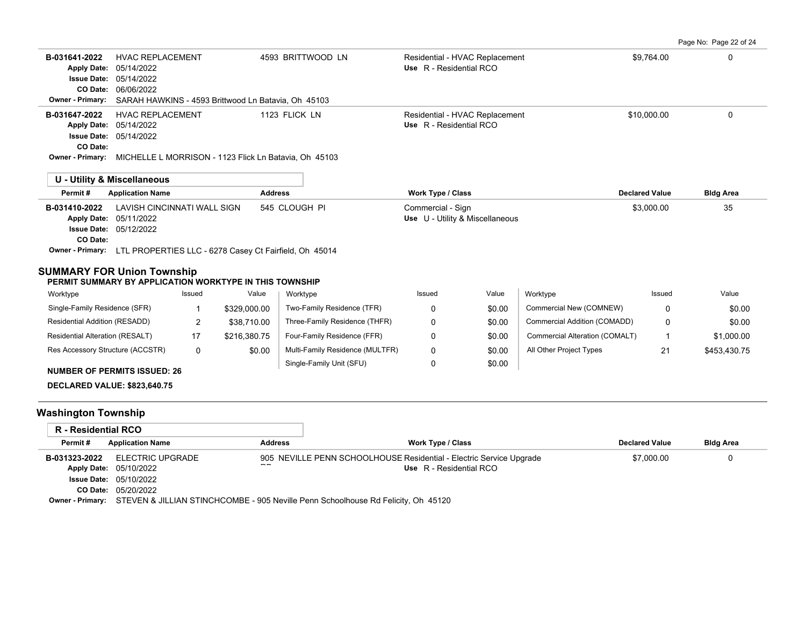Page No: Page 22 of 24

| <b>HVAC REPLACEMENT</b><br>B-031641-2022<br>05/14/2022<br><b>Apply Date:</b><br>05/14/2022<br><b>Issue Date:</b><br>CO Date:<br>06/06/2022<br>Owner - Primary: |                                    | SARAH HAWKINS - 4593 Brittwood Ln Batavia, Oh 45103 | 4593 BRITTWOOD LN                                     | Residential - HVAC Replacement<br>Use R - Residential RCO |        |                                | \$9,764.00            | 0                |
|----------------------------------------------------------------------------------------------------------------------------------------------------------------|------------------------------------|-----------------------------------------------------|-------------------------------------------------------|-----------------------------------------------------------|--------|--------------------------------|-----------------------|------------------|
| <b>HVAC REPLACEMENT</b><br>B-031647-2022                                                                                                                       |                                    |                                                     | 1123 FLICK LN                                         |                                                           |        |                                | \$10,000.00           | $\Omega$         |
| 05/14/2022<br><b>Apply Date:</b>                                                                                                                               |                                    |                                                     |                                                       | Residential - HVAC Replacement<br>Use R - Residential RCO |        |                                |                       |                  |
| <b>Issue Date:</b><br>05/14/2022                                                                                                                               |                                    |                                                     |                                                       |                                                           |        |                                |                       |                  |
| CO Date:                                                                                                                                                       |                                    |                                                     |                                                       |                                                           |        |                                |                       |                  |
| Owner - Primary:                                                                                                                                               |                                    |                                                     | MICHELLE L MORRISON - 1123 Flick Ln Batavia, Oh 45103 |                                                           |        |                                |                       |                  |
| <b>U - Utility &amp; Miscellaneous</b>                                                                                                                         |                                    |                                                     |                                                       |                                                           |        |                                |                       |                  |
| Permit#<br><b>Application Name</b>                                                                                                                             |                                    | <b>Address</b>                                      |                                                       | <b>Work Type / Class</b>                                  |        |                                | <b>Declared Value</b> | <b>Bldg Area</b> |
| B-031410-2022<br>05/11/2022<br><b>Apply Date:</b>                                                                                                              | <b>LAVISH CINCINNATI WALL SIGN</b> |                                                     | 545 CLOUGH PI                                         | Commercial - Sign<br>Use U - Utility & Miscellaneous      |        |                                | \$3,000.00            | 35               |
| <b>Issue Date: 05/12/2022</b>                                                                                                                                  |                                    |                                                     |                                                       |                                                           |        |                                |                       |                  |
| CO Date:                                                                                                                                                       |                                    |                                                     |                                                       |                                                           |        |                                |                       |                  |
| Owner - Primary: LTL PROPERTIES LLC - 6278 Casey Ct Fairfield, Oh 45014                                                                                        |                                    |                                                     |                                                       |                                                           |        |                                |                       |                  |
| <b>SUMMARY FOR Union Township</b><br>PERMIT SUMMARY BY APPLICATION WORKTYPE IN THIS TOWNSHIP                                                                   |                                    |                                                     |                                                       |                                                           |        |                                |                       |                  |
| Worktype                                                                                                                                                       | Issued                             | Value                                               | Worktype                                              | Issued                                                    | Value  | Worktype                       | Issued                | Value            |
| Single-Family Residence (SFR)                                                                                                                                  |                                    | \$329,000.00                                        | Two-Family Residence (TFR)                            | 0                                                         | \$0.00 | Commercial New (COMNEW)        | 0                     | \$0.00           |
| Residential Addition (RESADD)                                                                                                                                  | $\overline{2}$                     | \$38,710.00                                         | Three-Family Residence (THFR)                         | 0                                                         | \$0.00 | Commercial Addition (COMADD)   | 0                     | \$0.00           |
| Residential Alteration (RESALT)                                                                                                                                | 17                                 | \$216.380.75                                        | Four-Family Residence (FFR)                           | 0                                                         | \$0.00 | Commercial Alteration (COMALT) | 1                     | \$1,000.00       |
| Res Accessory Structure (ACCSTR)                                                                                                                               | $\mathbf 0$                        | \$0.00                                              | Multi-Family Residence (MULTFR)                       | 0                                                         | \$0.00 | All Other Project Types        | 21                    | \$453,430.75     |
|                                                                                                                                                                |                                    |                                                     | Single-Family Unit (SFU)                              | 0                                                         | \$0.00 |                                |                       |                  |
| <b>NUMBER OF PERMITS ISSUED: 26</b>                                                                                                                            |                                    |                                                     |                                                       |                                                           |        |                                |                       |                  |
| <b>DECLARED VALUE: \$823,640.75</b>                                                                                                                            |                                    |                                                     |                                                       |                                                           |        |                                |                       |                  |
| <b>Washington Township</b>                                                                                                                                     |                                    |                                                     |                                                       |                                                           |        |                                |                       |                  |
| <b>R</b> - Residential RCO                                                                                                                                     |                                    |                                                     |                                                       |                                                           |        |                                |                       |                  |
|                                                                                                                                                                |                                    |                                                     |                                                       |                                                           |        |                                |                       |                  |

| Permit#       | <b>Application Name</b>                           | <b>Address</b>                                                                                     | Work Type / Class       | <b>Declared Value</b> | <b>Bldg Area</b> |
|---------------|---------------------------------------------------|----------------------------------------------------------------------------------------------------|-------------------------|-----------------------|------------------|
| B-031323-2022 | ELECTRIC UPGRADE<br><b>Apply Date: 05/10/2022</b> | 905 NEVILLE PENN SCHOOLHOUSE Residential - Electric Service Upgrade<br>--                          | Use R - Residential RCO | \$7.000.00            |                  |
|               | <b>Issue Date: 05/10/2022</b>                     |                                                                                                    |                         |                       |                  |
| CO Date:      | 05/20/2022                                        |                                                                                                    |                         |                       |                  |
|               |                                                   | Owner - Primary: STEVEN & JILLIAN STINCHCOMBE - 905 Neville Penn Schoolhouse Rd Felicity, Oh 45120 |                         |                       |                  |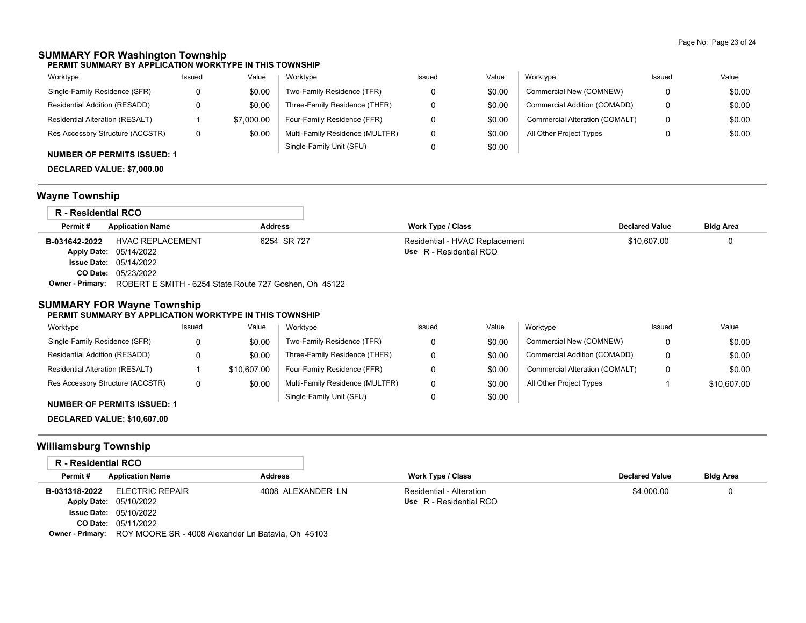### **SUMMARY FOR Washington Township**

**PERMIT SUMMARY BY APPLICATION WORKTYPE IN THIS TOWNSHIP**

| Worktype                         | Issued | Value      | Worktype                        | Issued | Value  | Worktype                       | Issued | Value  |
|----------------------------------|--------|------------|---------------------------------|--------|--------|--------------------------------|--------|--------|
| Single-Family Residence (SFR)    |        | \$0.00     | Two-Family Residence (TFR)      |        | \$0.00 | Commercial New (COMNEW)        | 0      | \$0.00 |
| Residential Addition (RESADD)    |        | \$0.00     | Three-Family Residence (THFR)   |        | \$0.00 | Commercial Addition (COMADD)   | 0      | \$0.00 |
| Residential Alteration (RESALT)  |        | \$7,000.00 | Four-Family Residence (FFR)     |        | \$0.00 | Commercial Alteration (COMALT) | 0      | \$0.00 |
| Res Accessory Structure (ACCSTR) | 0      | \$0.00     | Multi-Family Residence (MULTFR) |        | \$0.00 | All Other Project Types        |        | \$0.00 |
|                                  |        |            | Single-Family Unit (SFU)        |        | \$0.00 |                                |        |        |

# **NUMBER OF PERMITS ISSUED: 1**

**DECLARED VALUE: \$7,000.00**

# **Wayne Township**

| R - Residential RCO |                                                        |                |                                |                       |                  |
|---------------------|--------------------------------------------------------|----------------|--------------------------------|-----------------------|------------------|
| Permit#             | <b>Application Name</b>                                | <b>Address</b> | <b>Work Type / Class</b>       | <b>Declared Value</b> | <b>Bldg Area</b> |
| B-031642-2022       | <b>HVAC REPLACEMENT</b>                                | 6254 SR 727    | Residential - HVAC Replacement | \$10,607.00           | 0                |
|                     | <b>Apply Date: 05/14/2022</b>                          |                | Use R - Residential RCO        |                       |                  |
|                     | <b>Issue Date: 05/14/2022</b>                          |                |                                |                       |                  |
|                     | <b>CO Date: 05/23/2022</b>                             |                |                                |                       |                  |
| Owner - Primary:    | ROBERT E SMITH - 6254 State Route 727 Goshen, Oh 45122 |                |                                |                       |                  |

### **SUMMARY FOR Wayne Township**

#### **PERMIT SUMMARY BY APPLICATION WORKTYPE IN THIS TOWNSHIP**

| Worktype                         | Issued | Value       | Worktype                        | Issued | Value  | Worktvpe                       | Issued   | Value       |
|----------------------------------|--------|-------------|---------------------------------|--------|--------|--------------------------------|----------|-------------|
| Single-Family Residence (SFR)    |        | \$0.00      | Two-Family Residence (TFR)      |        | \$0.00 | Commercial New (COMNEW)        | $\Omega$ | \$0.00      |
| Residential Addition (RESADD)    |        | \$0.00      | Three-Family Residence (THFR)   |        | \$0.00 | Commercial Addition (COMADD)   | 0        | \$0.00      |
| Residential Alteration (RESALT)  |        | \$10,607.00 | Four-Family Residence (FFR)     |        | \$0.00 | Commercial Alteration (COMALT) | 0        | \$0.00      |
| Res Accessory Structure (ACCSTR) |        | \$0.00      | Multi-Family Residence (MULTFR) |        | \$0.00 | All Other Project Types        |          | \$10.607.00 |
|                                  |        |             | Single-Family Unit (SFU)        |        | \$0.00 |                                |          |             |

#### **NUMBER OF PERMITS ISSUED: 1**

**DECLARED VALUE: \$10,607.00**

### **Williamsburg Township**

| R - Residential RCO |                                                                            |                   |                          |                       |                  |
|---------------------|----------------------------------------------------------------------------|-------------------|--------------------------|-----------------------|------------------|
| Permit#             | <b>Application Name</b>                                                    | <b>Address</b>    | Work Type / Class        | <b>Declared Value</b> | <b>Bldg Area</b> |
| B-031318-2022       | <b>ELECTRIC REPAIR</b>                                                     | 4008 ALEXANDER LN | Residential - Alteration | \$4,000.00            |                  |
|                     | Apply Date: 05/10/2022                                                     |                   | Use R - Residential RCO  |                       |                  |
|                     | <b>Issue Date: 05/10/2022</b>                                              |                   |                          |                       |                  |
|                     | <b>CO Date: 05/11/2022</b>                                                 |                   |                          |                       |                  |
|                     | <b>Owner - Primary:</b> ROY MOORE SR - 4008 Alexander Ln Batavia, Oh 45103 |                   |                          |                       |                  |

**Owner - Primary:** ROY MOORE SR - 4008 Alexander Ln Batavia, Oh 45103